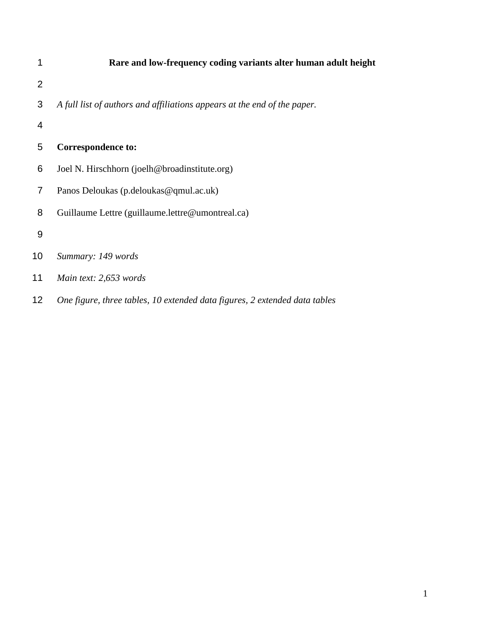|    | Rare and low-frequency coding variants alter human adult height            |  |  |  |  |  |  |
|----|----------------------------------------------------------------------------|--|--|--|--|--|--|
| 2  |                                                                            |  |  |  |  |  |  |
| 3  | A full list of authors and affiliations appears at the end of the paper.   |  |  |  |  |  |  |
| 4  |                                                                            |  |  |  |  |  |  |
| 5  | <b>Correspondence to:</b>                                                  |  |  |  |  |  |  |
| 6  | Joel N. Hirschhorn (joelh@broadinstitute.org)                              |  |  |  |  |  |  |
| 7  | Panos Deloukas (p.deloukas@qmul.ac.uk)                                     |  |  |  |  |  |  |
| 8  | Guillaume Lettre (guillaume.lettre@umontreal.ca)                           |  |  |  |  |  |  |
| 9  |                                                                            |  |  |  |  |  |  |
| 10 | Summary: 149 words                                                         |  |  |  |  |  |  |
| 11 | Main text: 2,653 words                                                     |  |  |  |  |  |  |
| 12 | One figure, three tables, 10 extended data figures, 2 extended data tables |  |  |  |  |  |  |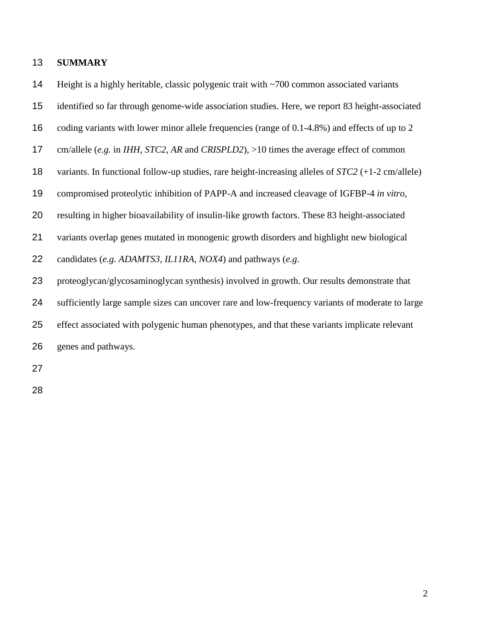## **SUMMARY**

14 Height is a highly heritable, classic polygenic trait with ~700 common associated variants

- identified so far through genome-wide association studies. Here, we report 83 height-associated
- coding variants with lower minor allele frequencies (range of 0.1-4.8%) and effects of up to 2
- cm/allele (*e.g.* in *IHH*, *STC2*, *AR* and *CRISPLD2*), >10 times the average effect of common
- variants. In functional follow-up studies, rare height-increasing alleles of *STC2* (+1-2 cm/allele)
- compromised proteolytic inhibition of PAPP-A and increased cleavage of IGFBP-4 *in vitro*,
- resulting in higher bioavailability of insulin-like growth factors. These 83 height-associated
- variants overlap genes mutated in monogenic growth disorders and highlight new biological
- candidates (*e.g. ADAMTS3, IL11RA, NOX4*) and pathways (*e.g.*
- proteoglycan/glycosaminoglycan synthesis) involved in growth. Our results demonstrate that
- sufficiently large sample sizes can uncover rare and low-frequency variants of moderate to large
- effect associated with polygenic human phenotypes, and that these variants implicate relevant
- genes and pathways.
- 
-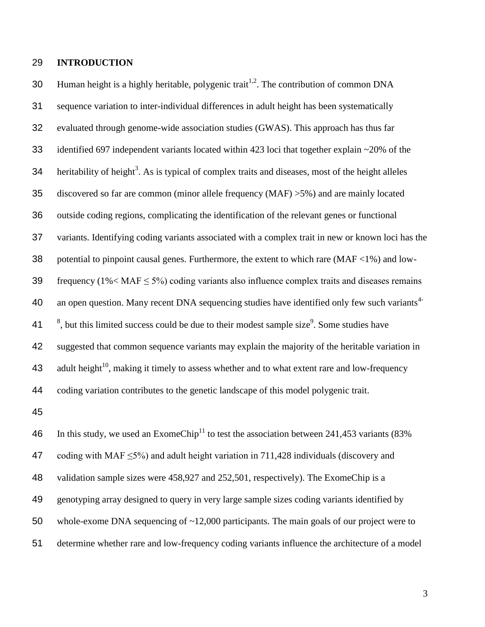### 29 **INTRODUCTION**

30 Human height is a highly heritable, polygenic trait<sup>[1](#page-17-0)[,2](#page-17-1)</sup>. The contribution of common DNA 31 sequence variation to inter-individual differences in adult height has been systematically 32 evaluated through genome-wide association studies (GWAS). This approach has thus far 33 identified 697 independent variants located within 423 loci that together explain ~20% of the 34 heri[t](#page-17-2)ability of height<sup>3</sup>. As is typical of complex traits and diseases, most of the height alleles 35 discovered so far are common (minor allele frequency (MAF) >5%) and are mainly located 36 outside coding regions, complicating the identification of the relevant genes or functional 37 variants. Identifying coding variants associated with a complex trait in new or known loci has the 38 potential to pinpoint causal genes. Furthermore, the extent to which rare  $(MAF < 1%)$  and low-39 frequency ( $1\%$  < MAF  $\leq$  5%) coding variants also influence complex traits and diseases remains an open question. Many recent DNA sequencing studies have identified only few such variants<sup>[4-](#page-17-3)</sup> 40  $3^8$ , but this limit[e](#page-17-4)d success could be due to their modest sample size<sup>9</sup>. Some studies have 42 suggested that common sequence variants may explain the majority of the heritable variation in 43 adult height<sup>[10](#page-17-5)</sup>, making it timely to assess whether and to what extent rare and low-frequency 44 coding variation contributes to the genetic landscape of this model polygenic trait.

45

46 In this study, we used an ExomeChip<sup>[11](#page-18-0)</sup> to test the association between 241,453 variants (83%) 47 coding with MAF  $\leq$ 5%) and adult height variation in 711,428 individuals (discovery and validation sample sizes were 458,927 and 252,501, respectively). The ExomeChip is a genotyping array designed to query in very large sample sizes coding variants identified by whole-exome DNA sequencing of ~12,000 participants. The main goals of our project were to determine whether rare and low-frequency coding variants influence the architecture of a model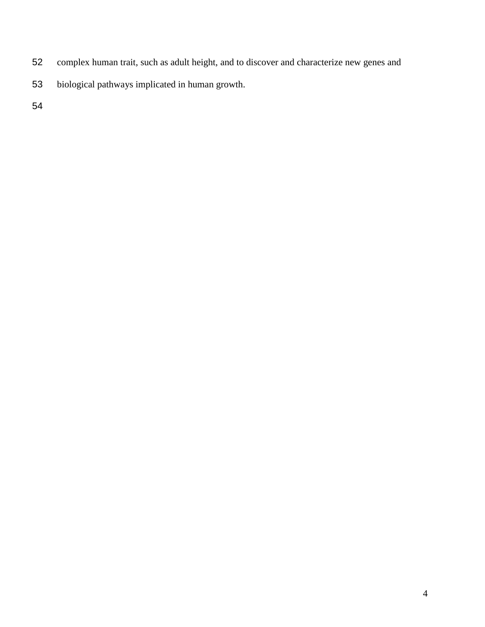- complex human trait, such as adult height, and to discover and characterize new genes and
- biological pathways implicated in human growth.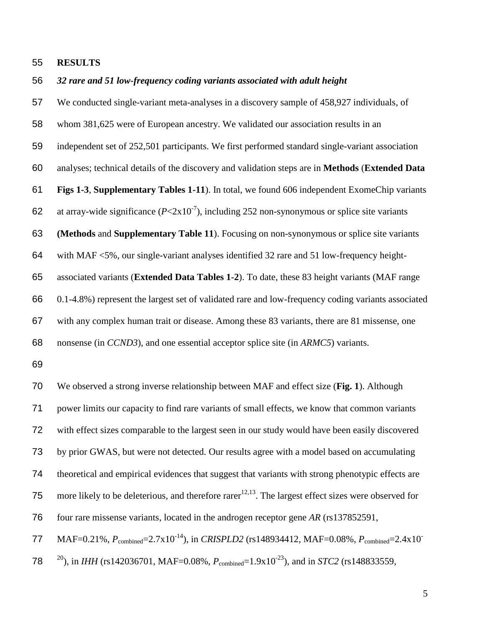### **RESULTS**

#### *32 rare and 51 low-frequency coding variants associated with adult height*

 We conducted single-variant meta-analyses in a discovery sample of 458,927 individuals, of whom 381,625 were of European ancestry. We validated our association results in an independent set of 252,501 participants. We first performed standard single-variant association analyses; technical details of the discovery and validation steps are in **Methods** (**Extended Data Figs 1-3**, **Supplementary Tables 1-11**). In total, we found 606 independent ExomeChip variants 62 at array-wide significance  $(P< 2x10<sup>-7</sup>)$ , including 252 non-synonymous or splice site variants **(Methods** and **Supplementary Table 11**). Focusing on non-synonymous or splice site variants with MAF <5%, our single-variant analyses identified 32 rare and 51 low-frequency height- associated variants (**Extended Data Tables 1-2**). To date, these 83 height variants (MAF range 0.1-4.8%) represent the largest set of validated rare and low-frequency coding variants associated with any complex human trait or disease. Among these 83 variants, there are 81 missense, one

nonsense (in *CCND3*), and one essential acceptor splice site (in *ARMC5*) variants.

 We observed a strong inverse relationship between MAF and effect size (**Fig. 1**). Although power limits our capacity to find rare variants of small effects, we know that common variants with effect sizes comparable to the largest seen in our study would have been easily discovered by prior GWAS, but were not detected. Our results agree with a model based on accumulating theoretical and empirical evidences that suggest that variants with strong phenotypic effects are 75 more likely to be deleterious, and therefore rare  $r^{12,13}$  $r^{12,13}$  $r^{12,13}$  $r^{12,13}$ . The largest effect sizes were observed for four rare missense variants, located in the androgen receptor gene *AR* (rs137852591,

MAF=0.21%,  $P_{\text{combined}}$ =2.7x10<sup>-14</sup>), in *CRISPLD2* (rs148934412, MAF=0.08%,  $P_{\text{combined}}$ =2.4x10<sup>-14</sup>) 

78 <sup>20</sup>), in *IHH* (rs142036701, MAF=0.08%,  $P_{\text{combined}}$ =1.9x10<sup>-23</sup>), and in *STC2* (rs148833559,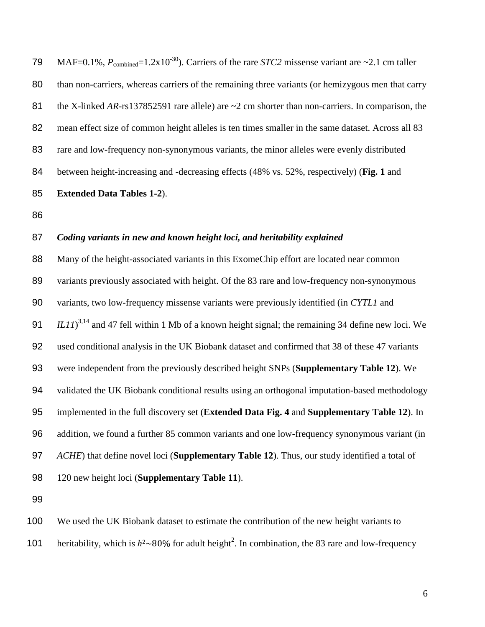79 MAF=0.1%,  $P_{\text{combined}} = 1.2 \times 10^{-30}$ . Carriers of the rare *STC2* missense variant are ~2.1 cm taller 80 than non-carriers, whereas carriers of the remaining three variants (or hemizygous men that carry 81 the X-linked *AR*-rs137852591 rare allele) are ~2 cm shorter than non-carriers. In comparison, the mean effect size of common height alleles is ten times smaller in the same dataset. Across all 83 rare and low-frequency non-synonymous variants, the minor alleles were evenly distributed between height-increasing and -decreasing effects (48% vs. 52%, respectively) (**Fig. 1** and **Extended Data Tables 1-2**).

#### *Coding variants in new and known height loci, and heritability explained*

88 Many of the height-associated variants in this ExomeChip effort are located near common 89 variants previously associated with height. Of the 83 rare and low-frequency non-synonymous variants, two low-frequency missense variants were previously identified (in *CYTL1* and *IL11*<sup>[3,](#page-17-2)[14](#page-18-3)</sup> and 47 fell within 1 Mb of a known height signal; the remaining 34 define new loci. We used conditional analysis in the UK Biobank dataset and confirmed that 38 of these 47 variants were independent from the previously described height SNPs (**Supplementary Table 12**). We validated the UK Biobank conditional results using an orthogonal imputation-based methodology implemented in the full discovery set (**Extended Data Fig. 4** and **Supplementary Table 12**). In addition, we found a further 85 common variants and one low-frequency synonymous variant (in *ACHE*) that define novel loci (**Supplementary Table 12**). Thus, our study identified a total of 120 new height loci (**Supplementary Table 11**).

We used the UK Biobank dataset to estimate the contribution of the new height variants to

101 heritability, which is  $h^2 \sim 80\%$  $h^2 \sim 80\%$  $h^2 \sim 80\%$  for adult height<sup>2</sup>. In combination, the 83 rare and low-frequency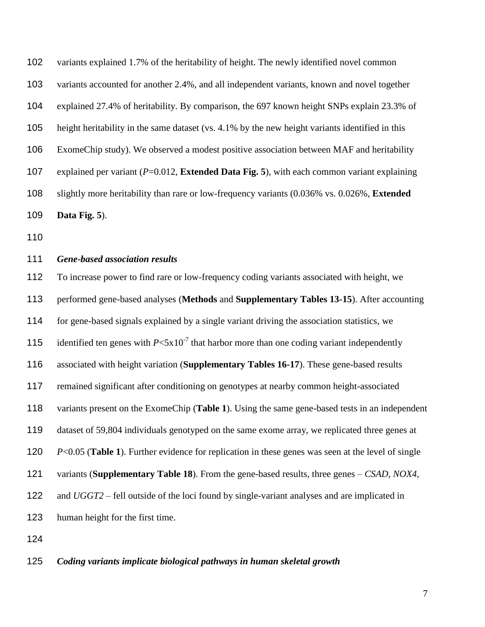variants explained 1.7% of the heritability of height. The newly identified novel common variants accounted for another 2.4%, and all independent variants, known and novel together explained 27.4% of heritability. By comparison, the 697 known height SNPs explain 23.3% of height heritability in the same dataset (vs. 4.1% by the new height variants identified in this ExomeChip study). We observed a modest positive association between MAF and heritability explained per variant (*P*=0.012, **Extended Data Fig. 5**), with each common variant explaining slightly more heritability than rare or low-frequency variants (0.036% vs. 0.026%, **Extended Data Fig. 5**).

# *Gene-based association results*

 To increase power to find rare or low-frequency coding variants associated with height, we performed gene-based analyses (**Methods** and **Supplementary Tables 13-15**). After accounting for gene-based signals explained by a single variant driving the association statistics, we 115 identified ten genes with  $P < 5x10^{-7}$  that harbor more than one coding variant independently associated with height variation (**Supplementary Tables 16-17**). These gene-based results remained significant after conditioning on genotypes at nearby common height-associated variants present on the ExomeChip (**Table 1**). Using the same gene-based tests in an independent dataset of 59,804 individuals genotyped on the same exome array, we replicated three genes at *P*<0.05 (**Table 1**). Further evidence for replication in these genes was seen at the level of single variants (**Supplementary Table 18**). From the gene-based results, three genes – *CSAD*, *NOX4*, and *UGGT2* – fell outside of the loci found by single-variant analyses and are implicated in human height for the first time.

### *Coding variants implicate biological pathways in human skeletal growth*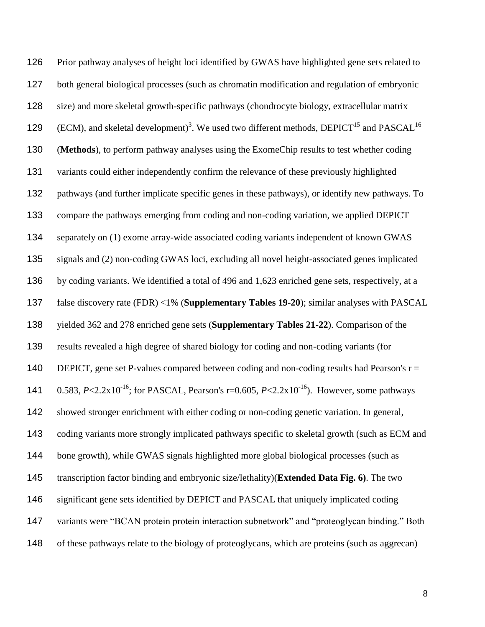Prior pathway analyses of height loci identified by GWAS have highlighted gene sets related to both general biological processes (such as chromatin modification and regulation of embryonic size) and more skeletal growth-specific pathways (chondrocyte biology, extracellular matrix 129 (ECM), and skeletal development)<sup>[3](#page-17-2)</sup>. We used two different methods, DEPICT<sup>[15](#page-18-4)</sup> and PASCAL<sup>[16](#page-18-5)</sup> (**Methods**), to perform pathway analyses using the ExomeChip results to test whether coding variants could either independently confirm the relevance of these previously highlighted pathways (and further implicate specific genes in these pathways), or identify new pathways. To compare the pathways emerging from coding and non-coding variation, we applied DEPICT separately on (1) exome array-wide associated coding variants independent of known GWAS signals and (2) non-coding GWAS loci, excluding all novel height-associated genes implicated by coding variants. We identified a total of 496 and 1,623 enriched gene sets, respectively, at a false discovery rate (FDR) <1% (**Supplementary Tables 19-20**); similar analyses with PASCAL yielded 362 and 278 enriched gene sets (**Supplementary Tables 21-22**). Comparison of the results revealed a high degree of shared biology for coding and non-coding variants (for 140 DEPICT, gene set P-values compared between coding and non-coding results had Pearson's  $r =$ 141 0.583,  $P \le 2.2x10^{-16}$ ; for PASCAL, Pearson's r=0.605,  $P \le 2.2x10^{-16}$ ). However, some pathways showed stronger enrichment with either coding or non-coding genetic variation. In general, 143 coding variants more strongly implicated pathways specific to skeletal growth (such as ECM and bone growth), while GWAS signals highlighted more global biological processes (such as transcription factor binding and embryonic size/lethality)(**Extended Data Fig. 6)**. The two significant gene sets identified by DEPICT and PASCAL that uniquely implicated coding variants were "BCAN protein protein interaction subnetwork" and "proteoglycan binding." Both of these pathways relate to the biology of proteoglycans, which are proteins (such as aggrecan)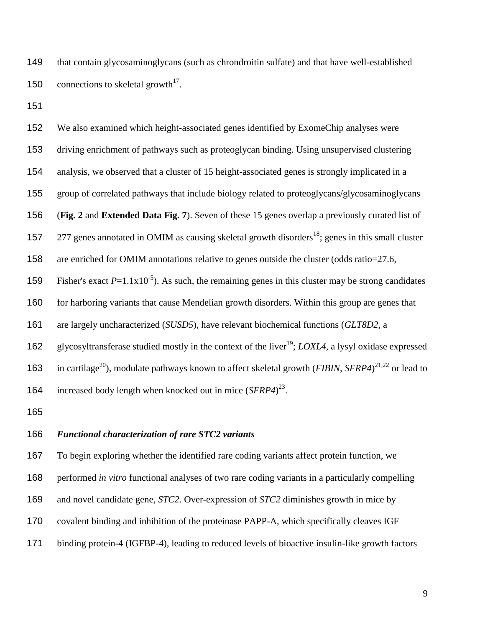that contain glycosaminoglycans (such as chrondroitin sulfate) and that have well-established 150 connections to skeletal growth<sup>[17](#page-18-6)</sup>.

 We also examined which height-associated genes identified by ExomeChip analyses were driving enrichment of pathways such as proteoglycan binding. Using unsupervised clustering analysis, we observed that a cluster of 15 height-associated genes is strongly implicated in a group of correlated pathways that include biology related to proteoglycans/glycosaminoglycans (**Fig. 2** and **Extended Data Fig. 7**). Seven of these 15 genes overlap a previously curated list of  $\,$  277 genes annotated in OMIM as causing skeletal growth disorders<sup>[18](#page-18-7)</sup>; genes in this small cluster are enriched for OMIM annotations relative to genes outside the cluster (odds ratio=27.6, 159 Fisher's exact  $P=1.1x10^{-5}$ ). As such, the remaining genes in this cluster may be strong candidates 160 for harboring variants that cause Mendelian growth disorders. Within this group are genes that are largely uncharacterized (*SUSD5*), have relevant biochemical functions (*GLT8D2*, a 162 glycosyltransferase studied mostly in the context of the liver<sup>[19](#page-18-8)</sup>; *LOXL4*, a lysyl oxidase expressed 163 in cartilage<sup>[20](#page-19-0)</sup>), modulate pathways known to affect skeletal growth (*FIBIN*, *SFRP4*)<sup>[21](#page-19-1)[,22](#page-19-2)</sup> or lead to 164 increased body length when knocked out in mice  $(SFRP4)^{23}$  $(SFRP4)^{23}$  $(SFRP4)^{23}$ .

### *Functional characterization of rare STC2 variants*

To begin exploring whether the identified rare coding variants affect protein function, we

performed *in vitro* functional analyses of two rare coding variants in a particularly compelling

- and novel candidate gene, *STC2*. Over-expression of *STC2* diminishes growth in mice by
- covalent binding and inhibition of the proteinase PAPP-A, which specifically cleaves IGF
- binding protein-4 (IGFBP-4), leading to reduced levels of bioactive insulin-like growth factors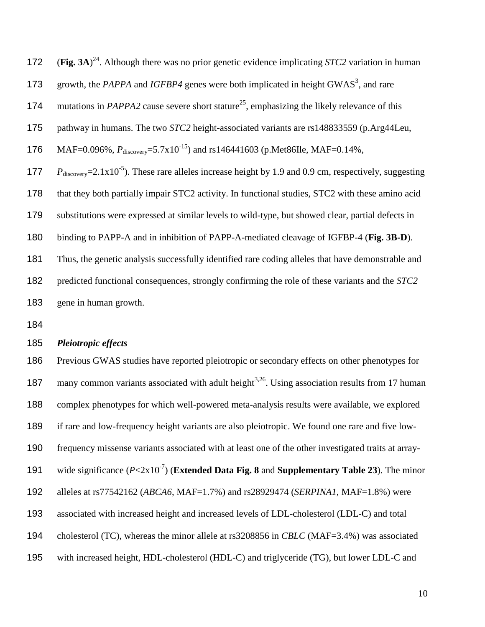| 172 | (Fig. 3A) <sup>24</sup> . Although there was no prior genetic evidence implicating <i>STC2</i> variation in human           |
|-----|-----------------------------------------------------------------------------------------------------------------------------|
| 173 | growth, the PAPPA and IGFBP4 genes were both implicated in height GWAS <sup>3</sup> , and rare                              |
| 174 | mutations in <i>PAPPA2</i> cause severe short stature <sup>25</sup> , emphasizing the likely relevance of this              |
| 175 | pathway in humans. The two STC2 height-associated variants are rs148833559 (p.Arg44Leu,                                     |
| 176 | MAF=0.096%, $P_{discovery}$ =5.7x10 <sup>-15</sup> ) and rs146441603 (p.Met86Ile, MAF=0.14%,                                |
| 177 | $P_{\text{discovery}}=2.1 \times 10^{-5}$ ). These rare alleles increase height by 1.9 and 0.9 cm, respectively, suggesting |
| 178 | that they both partially impair STC2 activity. In functional studies, STC2 with these amino acid                            |
| 179 | substitutions were expressed at similar levels to wild-type, but showed clear, partial defects in                           |
| 180 | binding to PAPP-A and in inhibition of PAPP-A-mediated cleavage of IGFBP-4 (Fig. 3B-D).                                     |
| 181 | Thus, the genetic analysis successfully identified rare coding alleles that have demonstrable and                           |
| 182 | predicted functional consequences, strongly confirming the role of these variants and the STC2                              |
| 183 | gene in human growth.                                                                                                       |

### *Pleiotropic effects*

 Previous GWAS studies have reported pleiotropic or secondary effects on other phenotypes for 187 many common variants associated with adult height<sup>[3,](#page-17-2)[26](#page-19-6)</sup>. Using association results from 17 human complex phenotypes for which well-powered meta-analysis results were available, we explored if rare and low-frequency height variants are also pleiotropic. We found one rare and five low- frequency missense variants associated with at least one of the other investigated traits at array-191 wide significance  $(P<2x10^{-7})$  (**Extended Data Fig. 8** and **Supplementary Table 23**). The minor alleles at rs77542162 (*ABCA6*, MAF=1.7%) and rs28929474 (*SERPINA1*, MAF=1.8%) were associated with increased height and increased levels of LDL-cholesterol (LDL-C) and total cholesterol (TC), whereas the minor allele at rs3208856 in *CBLC* (MAF=3.4%) was associated with increased height, HDL-cholesterol (HDL-C) and triglyceride (TG), but lower LDL-C and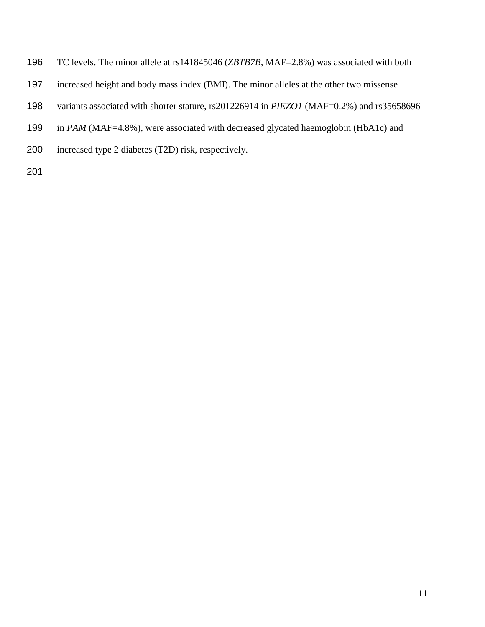- TC levels. The minor allele at rs141845046 (*ZBTB7B,* MAF=2.8%) was associated with both
- increased height and body mass index (BMI). The minor alleles at the other two missense
- variants associated with shorter stature, rs201226914 in *PIEZO1* (MAF=0.2%) and rs35658696
- 199 in *PAM* (MAF=4.8%), were associated with decreased glycated haemoglobin (HbA1c) and
- increased type 2 diabetes (T2D) risk, respectively.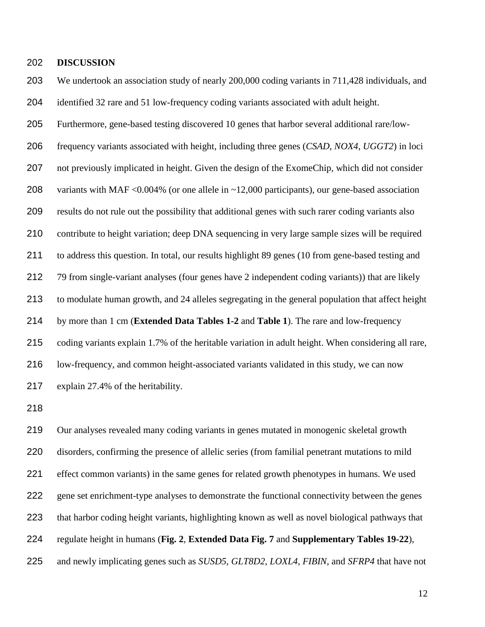## **DISCUSSION**

 We undertook an association study of nearly 200,000 coding variants in 711,428 individuals, and identified 32 rare and 51 low-frequency coding variants associated with adult height.

Furthermore, gene-based testing discovered 10 genes that harbor several additional rare/low-

 frequency variants associated with height, including three genes (*CSAD*, *NOX4*, *UGGT2*) in loci not previously implicated in height. Given the design of the ExomeChip, which did not consider variants with MAF <0.004% (or one allele in ~12,000 participants), our gene-based association results do not rule out the possibility that additional genes with such rarer coding variants also contribute to height variation; deep DNA sequencing in very large sample sizes will be required to address this question. In total, our results highlight 89 genes (10 from gene-based testing and 79 from single-variant analyses (four genes have 2 independent coding variants)) that are likely to modulate human growth, and 24 alleles segregating in the general population that affect height by more than 1 cm (**Extended Data Tables 1-2** and **Table 1**). The rare and low-frequency coding variants explain 1.7% of the heritable variation in adult height. When considering all rare, low-frequency, and common height-associated variants validated in this study, we can now explain 27.4% of the heritability.

 Our analyses revealed many coding variants in genes mutated in monogenic skeletal growth disorders, confirming the presence of allelic series (from familial penetrant mutations to mild effect common variants) in the same genes for related growth phenotypes in humans. We used gene set enrichment-type analyses to demonstrate the functional connectivity between the genes that harbor coding height variants, highlighting known as well as novel biological pathways that regulate height in humans (**Fig. 2**, **Extended Data Fig. 7** and **Supplementary Tables 19-22**), and newly implicating genes such as *SUSD5, GLT8D2*, *LOXL4*, *FIBIN,* and *SFRP4* that have not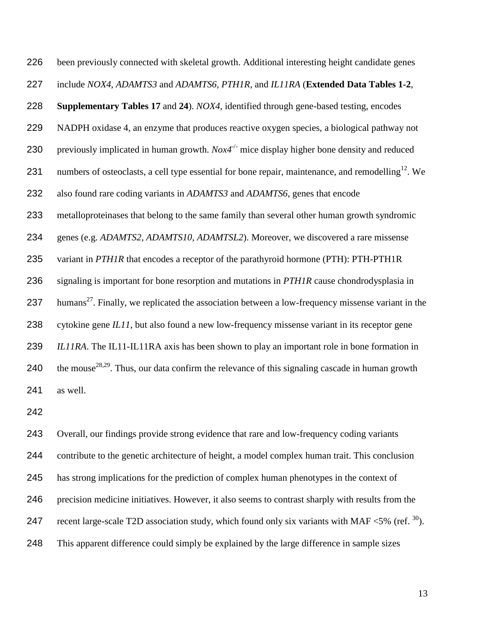been previously connected with skeletal growth. Additional interesting height candidate genes include *NOX4*, *ADAMTS3* and *ADAMTS6, PTH1R,* and *IL11RA* (**Extended Data Tables 1-2**, **Supplementary Tables 17** and **24**). *NOX4*, identified through gene-based testing, encodes NADPH oxidase 4, an enzyme that produces reactive oxygen species, a biological pathway not 230 previously implicated in human growth.  $Nox4^{-/-}$  mice display higher bone density and reduced 231 numbers of osteoclasts, a cell type essential for bone repair, maintenance, and remodelling<sup>12</sup>. We also found rare coding variants in *ADAMTS3* and *ADAMTS6*, genes that encode metalloproteinases that belong to the same family than several other human growth syndromic genes (e.g. *ADAMTS2*, *ADAMTS10*, *ADAMTSL2*). Moreover, we discovered a rare missense variant in *PTH1R* that encodes a receptor of the parathyroid hormone (PTH): PTH-PTH1R signaling is important for bone resorption and mutations in *PTH1R* cause chondrodysplasia in 237 humans<sup>[27](#page-19-7)</sup>. Finally, we replicated the association between a low-frequency missense variant in the cytokine gene *IL11*, but also found a new low-frequency missense variant in its receptor gene *IL11RA*. The IL11-IL11RA axis has been shown to play an important role in bone formation in 240 the mouse<sup>[28](#page-19-8)[,29](#page-19-9)</sup>. Thus, our data confirm the relevance of this signaling cascade in human growth as well.

 Overall, our findings provide strong evidence that rare and low-frequency coding variants contribute to the genetic architecture of height, a model complex human trait. This conclusion has strong implications for the prediction of complex human phenotypes in the context of precision medicine initiatives. However, it also seems to contrast sharply with results from the 247 recent large-scale T2D association study, which found only six variants with MAF  $\langle 5\%$  (ref.  $^{30}$  $^{30}$  $^{30}$ ). This apparent difference could simply be explained by the large difference in sample sizes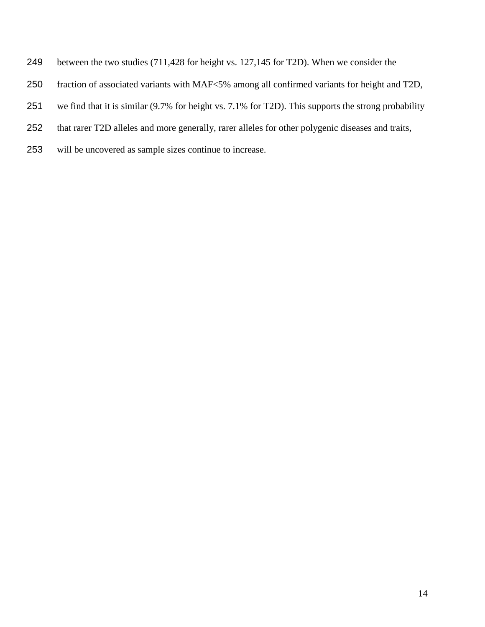- between the two studies (711,428 for height vs. 127,145 for T2D). When we consider the
- fraction of associated variants with MAF<5% among all confirmed variants for height and T2D,
- we find that it is similar (9.7% for height vs. 7.1% for T2D). This supports the strong probability
- that rarer T2D alleles and more generally, rarer alleles for other polygenic diseases and traits,
- will be uncovered as sample sizes continue to increase.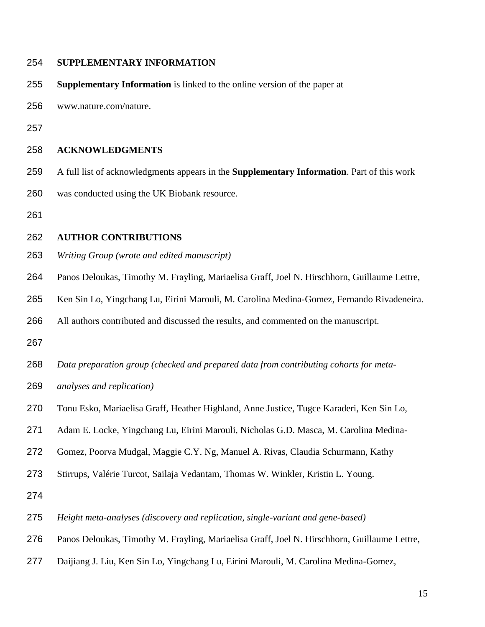### **SUPPLEMENTARY INFORMATION**

- **Supplementary Information** is linked to the online version of the paper at
- www.nature.com/nature.
- 

## **ACKNOWLEDGMENTS**

- A full list of acknowledgments appears in the **Supplementary Information**. Part of this work was conducted using the UK Biobank resource.
- 

### **AUTHOR CONTRIBUTIONS**

- *Writing Group (wrote and edited manuscript)*
- Panos Deloukas, Timothy M. Frayling, Mariaelisa Graff, Joel N. Hirschhorn, Guillaume Lettre,
- Ken Sin Lo, Yingchang Lu, Eirini Marouli, M. Carolina Medina-Gomez, Fernando Rivadeneira.
- All authors contributed and discussed the results, and commented on the manuscript.
- 
- *Data preparation group (checked and prepared data from contributing cohorts for meta-*
- *analyses and replication)*
- Tonu Esko, Mariaelisa Graff, Heather Highland, Anne Justice, Tugce Karaderi, Ken Sin Lo,
- Adam E. Locke, Yingchang Lu, Eirini Marouli, Nicholas G.D. Masca, M. Carolina Medina-
- Gomez, Poorva Mudgal, Maggie C.Y. Ng, Manuel A. Rivas, Claudia Schurmann, Kathy
- Stirrups, Valérie Turcot, Sailaja Vedantam, Thomas W. Winkler, Kristin L. Young.
- 
- *Height meta-analyses (discovery and replication, single-variant and gene-based)*
- Panos Deloukas, Timothy M. Frayling, Mariaelisa Graff, Joel N. Hirschhorn, Guillaume Lettre,
- Daijiang J. Liu, Ken Sin Lo, Yingchang Lu, Eirini Marouli, M. Carolina Medina-Gomez,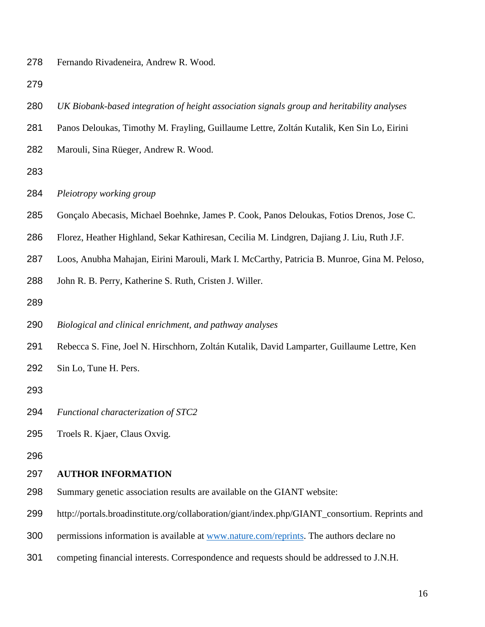Fernando Rivadeneira, Andrew R. Wood.

- *UK Biobank-based integration of height association signals group and heritability analyses*
- Panos Deloukas, Timothy M. Frayling, Guillaume Lettre, Zoltán Kutalik, Ken Sin Lo, Eirini
- Marouli, Sina Rüeger, Andrew R. Wood.
- 
- *Pleiotropy working group*
- Gonçalo Abecasis, Michael Boehnke, James P. Cook, Panos Deloukas, Fotios Drenos, Jose C.
- Florez, Heather Highland, Sekar Kathiresan, Cecilia M. Lindgren, Dajiang J. Liu, Ruth J.F.
- Loos, Anubha Mahajan, Eirini Marouli, Mark I. McCarthy, Patricia B. Munroe, Gina M. Peloso,
- John R. B. Perry, Katherine S. Ruth, Cristen J. Willer.
- 
- *Biological and clinical enrichment, and pathway analyses*
- Rebecca S. Fine, Joel N. Hirschhorn, Zoltán Kutalik, David Lamparter, Guillaume Lettre, Ken
- Sin Lo, Tune H. Pers.
- 
- *Functional characterization of STC2*
- Troels R. Kjaer, Claus Oxvig.
- 

#### **AUTHOR INFORMATION**

- Summary genetic association results are available on the GIANT website:
- http://portals.broadinstitute.org/collaboration/giant/index.php/GIANT\_consortium. Reprints and
- permissions information is available at [www.nature.com/reprints.](http://www.nature.com/reprints) The authors declare no
- competing financial interests. Correspondence and requests should be addressed to J.N.H.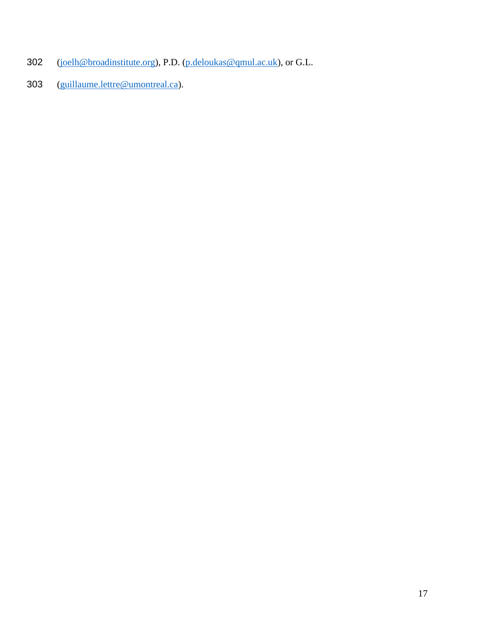- [\(joelh@broadinstitute.org\)](mailto:joelh@broadinstitute.org), P.D. [\(p.deloukas@qmul.ac.uk\)](mailto:p.deloukas@qmul.ac.uk), or G.L.
- [\(guillaume.lettre@umontreal.ca\)](mailto:guillaume.lettre@umontreal.ca).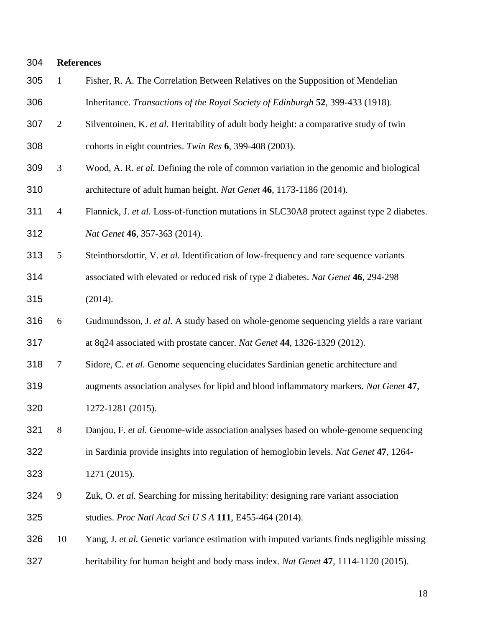<span id="page-17-6"></span><span id="page-17-5"></span><span id="page-17-4"></span><span id="page-17-3"></span><span id="page-17-2"></span><span id="page-17-1"></span><span id="page-17-0"></span>

| 304 |                | <b>References</b>                                                                          |  |  |  |  |  |  |
|-----|----------------|--------------------------------------------------------------------------------------------|--|--|--|--|--|--|
| 305 | $\mathbf{1}$   | Fisher, R. A. The Correlation Between Relatives on the Supposition of Mendelian            |  |  |  |  |  |  |
| 306 |                | Inheritance. Transactions of the Royal Society of Edinburgh 52, 399-433 (1918).            |  |  |  |  |  |  |
| 307 | $\mathfrak{2}$ | Silventoinen, K. et al. Heritability of adult body height: a comparative study of twin     |  |  |  |  |  |  |
| 308 |                | cohorts in eight countries. Twin Res 6, 399-408 (2003).                                    |  |  |  |  |  |  |
| 309 | 3              | Wood, A. R. et al. Defining the role of common variation in the genomic and biological     |  |  |  |  |  |  |
| 310 |                | architecture of adult human height. Nat Genet 46, 1173-1186 (2014).                        |  |  |  |  |  |  |
| 311 | $\overline{4}$ | Flannick, J. et al. Loss-of-function mutations in SLC30A8 protect against type 2 diabetes. |  |  |  |  |  |  |
| 312 |                | Nat Genet 46, 357-363 (2014).                                                              |  |  |  |  |  |  |
| 313 | 5              | Steinthorsdottir, V. et al. Identification of low-frequency and rare sequence variants     |  |  |  |  |  |  |
| 314 |                | associated with elevated or reduced risk of type 2 diabetes. Nat Genet 46, 294-298         |  |  |  |  |  |  |
| 315 |                | (2014).                                                                                    |  |  |  |  |  |  |
| 316 | 6              | Gudmundsson, J. et al. A study based on whole-genome sequencing yields a rare variant      |  |  |  |  |  |  |
| 317 |                | at 8q24 associated with prostate cancer. Nat Genet 44, 1326-1329 (2012).                   |  |  |  |  |  |  |
| 318 | $\tau$         | Sidore, C. et al. Genome sequencing elucidates Sardinian genetic architecture and          |  |  |  |  |  |  |
| 319 |                | augments association analyses for lipid and blood inflammatory markers. Nat Genet 47,      |  |  |  |  |  |  |
| 320 |                | 1272-1281 (2015).                                                                          |  |  |  |  |  |  |
| 321 | $8\,$          | Danjou, F. et al. Genome-wide association analyses based on whole-genome sequencing        |  |  |  |  |  |  |
| 322 |                | in Sardinia provide insights into regulation of hemoglobin levels. Nat Genet 47, 1264-     |  |  |  |  |  |  |
| 323 |                | 1271 (2015).                                                                               |  |  |  |  |  |  |
| 324 | $\mathbf{9}$   | Zuk, O. et al. Searching for missing heritability: designing rare variant association      |  |  |  |  |  |  |
| 325 |                | studies. Proc Natl Acad Sci U S A 111, E455-464 (2014).                                    |  |  |  |  |  |  |
| 326 | 10             | Yang, J. et al. Genetic variance estimation with imputed variants finds negligible missing |  |  |  |  |  |  |
| 327 |                | heritability for human height and body mass index. Nat Genet 47, 1114-1120 (2015).         |  |  |  |  |  |  |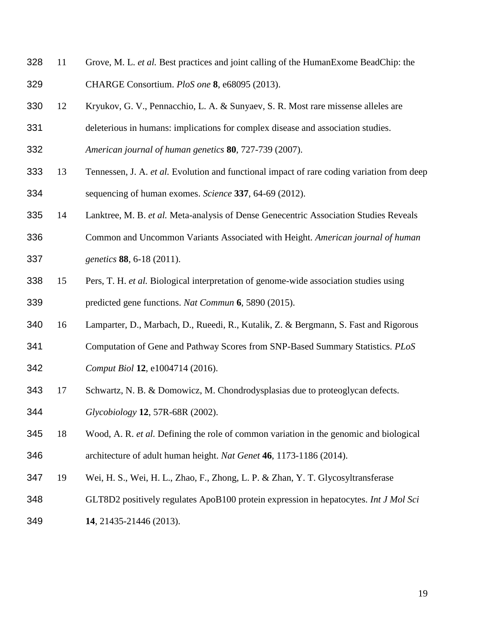- <span id="page-18-0"></span> 11 Grove, M. L. *et al.* Best practices and joint calling of the HumanExome BeadChip: the CHARGE Consortium. *PloS one* **8**, e68095 (2013).
- <span id="page-18-1"></span>12 Kryukov, G. V., Pennacchio, L. A. & Sunyaev, S. R. Most rare missense alleles are
- deleterious in humans: implications for complex disease and association studies.
- *American journal of human genetics* **80**, 727-739 (2007).
- <span id="page-18-2"></span> 13 Tennessen, J. A. *et al.* Evolution and functional impact of rare coding variation from deep sequencing of human exomes. *Science* **337**, 64-69 (2012).
- <span id="page-18-3"></span>14 Lanktree, M. B. *et al.* Meta-analysis of Dense Genecentric Association Studies Reveals
- Common and Uncommon Variants Associated with Height. *American journal of human genetics* **88**, 6-18 (2011).
- <span id="page-18-4"></span> 15 Pers, T. H. *et al.* Biological interpretation of genome-wide association studies using predicted gene functions. *Nat Commun* **6**, 5890 (2015).
- <span id="page-18-5"></span>16 Lamparter, D., Marbach, D., Rueedi, R., Kutalik, Z. & Bergmann, S. Fast and Rigorous
- Computation of Gene and Pathway Scores from SNP-Based Summary Statistics. *PLoS*
- *Comput Biol* **12**, e1004714 (2016).
- <span id="page-18-6"></span>17 Schwartz, N. B. & Domowicz, M. Chondrodysplasias due to proteoglycan defects.
- *Glycobiology* **12**, 57R-68R (2002).
- <span id="page-18-7"></span> 18 Wood, A. R. *et al.* Defining the role of common variation in the genomic and biological architecture of adult human height. *Nat Genet* **46**, 1173-1186 (2014).
- <span id="page-18-8"></span>19 Wei, H. S., Wei, H. L., Zhao, F., Zhong, L. P. & Zhan, Y. T. Glycosyltransferase
- GLT8D2 positively regulates ApoB100 protein expression in hepatocytes. *Int J Mol Sci*
- **14**, 21435-21446 (2013).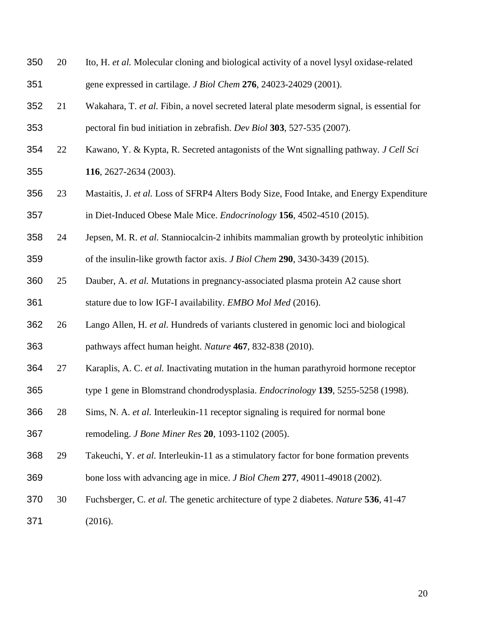<span id="page-19-10"></span><span id="page-19-9"></span><span id="page-19-8"></span><span id="page-19-7"></span><span id="page-19-6"></span><span id="page-19-5"></span><span id="page-19-4"></span><span id="page-19-3"></span><span id="page-19-2"></span><span id="page-19-1"></span><span id="page-19-0"></span>

| 350 | 20 | Ito, H. et al. Molecular cloning and biological activity of a novel lysyl oxidase-related   |
|-----|----|---------------------------------------------------------------------------------------------|
| 351 |    | gene expressed in cartilage. <i>J Biol Chem</i> 276, 24023-24029 (2001).                    |
| 352 | 21 | Wakahara, T. et al. Fibin, a novel secreted lateral plate mesoderm signal, is essential for |
| 353 |    | pectoral fin bud initiation in zebrafish. Dev Biol 303, 527-535 (2007).                     |
| 354 | 22 | Kawano, Y. & Kypta, R. Secreted antagonists of the Wnt signalling pathway. J Cell Sci       |
| 355 |    | 116, 2627-2634 (2003).                                                                      |
| 356 | 23 | Mastaitis, J. et al. Loss of SFRP4 Alters Body Size, Food Intake, and Energy Expenditure    |
| 357 |    | in Diet-Induced Obese Male Mice. Endocrinology 156, 4502-4510 (2015).                       |
| 358 | 24 | Jepsen, M. R. et al. Stanniocalcin-2 inhibits mammalian growth by proteolytic inhibition    |
| 359 |    | of the insulin-like growth factor axis. <i>J Biol Chem</i> 290, 3430-3439 (2015).           |
| 360 | 25 | Dauber, A. et al. Mutations in pregnancy-associated plasma protein A2 cause short           |
| 361 |    | stature due to low IGF-I availability. <i>EMBO Mol Med</i> (2016).                          |
| 362 | 26 | Lango Allen, H. et al. Hundreds of variants clustered in genomic loci and biological        |
| 363 |    | pathways affect human height. Nature 467, 832-838 (2010).                                   |
| 364 | 27 | Karaplis, A. C. et al. Inactivating mutation in the human parathyroid hormone receptor      |
| 365 |    | type 1 gene in Blomstrand chondrodysplasia. <i>Endocrinology</i> 139, 5255-5258 (1998).     |
| 366 | 28 | Sims, N. A. et al. Interleukin-11 receptor signaling is required for normal bone            |
| 367 |    | remodeling. <i>J Bone Miner Res</i> 20, 1093-1102 (2005).                                   |
| 368 | 29 | Takeuchi, Y. et al. Interleukin-11 as a stimulatory factor for bone formation prevents      |
| 369 |    | bone loss with advancing age in mice. <i>J Biol Chem</i> 277, 49011-49018 (2002).           |
| 370 | 30 | Fuchsberger, C. et al. The genetic architecture of type 2 diabetes. Nature 536, 41-47       |
| 371 |    | (2016).                                                                                     |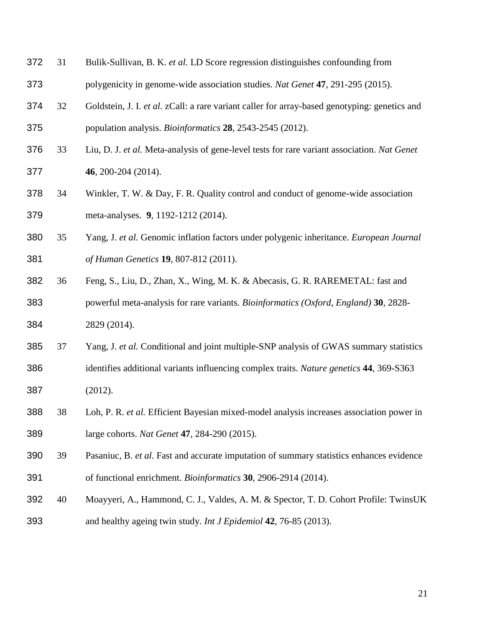- <span id="page-20-0"></span> 31 Bulik-Sullivan, B. K. *et al.* LD Score regression distinguishes confounding from polygenicity in genome-wide association studies. *Nat Genet* **47**, 291-295 (2015).
- <span id="page-20-1"></span> 32 Goldstein, J. I. *et al.* zCall: a rare variant caller for array-based genotyping: genetics and population analysis. *Bioinformatics* **28**, 2543-2545 (2012).
- <span id="page-20-2"></span> 33 Liu, D. J. *et al.* Meta-analysis of gene-level tests for rare variant association. *Nat Genet* **46**, 200-204 (2014).
- <span id="page-20-3"></span> 34 Winkler, T. W. & Day, F. R. Quality control and conduct of genome-wide association meta-analyses. **9**, 1192-1212 (2014).
- <span id="page-20-4"></span> 35 Yang, J. *et al.* Genomic inflation factors under polygenic inheritance. *European Journal of Human Genetics* **19**, 807-812 (2011).
- <span id="page-20-5"></span> 36 Feng, S., Liu, D., Zhan, X., Wing, M. K. & Abecasis, G. R. RAREMETAL: fast and powerful meta-analysis for rare variants. *Bioinformatics (Oxford, England)* **30**, 2828- 2829 (2014).
- <span id="page-20-6"></span> 37 Yang, J. *et al.* Conditional and joint multiple-SNP analysis of GWAS summary statistics identifies additional variants influencing complex traits. *Nature genetics* **44**, 369-S363 (2012).
- <span id="page-20-7"></span> 38 Loh, P. R. *et al.* Efficient Bayesian mixed-model analysis increases association power in large cohorts. *Nat Genet* **47**, 284-290 (2015).
- <span id="page-20-8"></span> 39 Pasaniuc, B. *et al.* Fast and accurate imputation of summary statistics enhances evidence of functional enrichment. *Bioinformatics* **30**, 2906-2914 (2014).
- <span id="page-20-9"></span> 40 Moayyeri, A., Hammond, C. J., Valdes, A. M. & Spector, T. D. Cohort Profile: TwinsUK and healthy ageing twin study. *Int J Epidemiol* **42**, 76-85 (2013).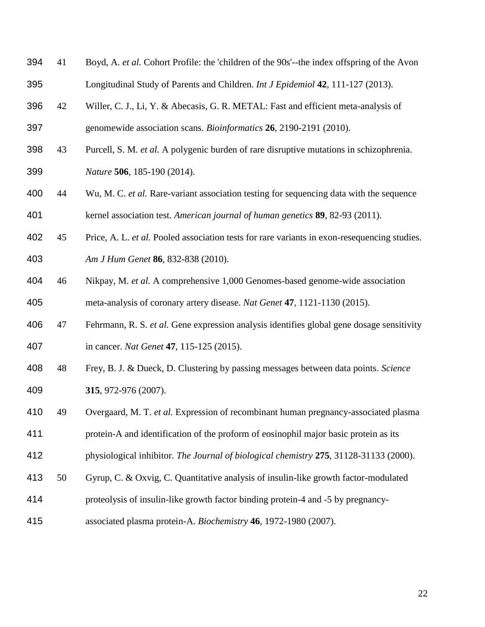- <span id="page-21-0"></span> 41 Boyd, A. *et al.* Cohort Profile: the 'children of the 90s'--the index offspring of the Avon Longitudinal Study of Parents and Children. *Int J Epidemiol* **42**, 111-127 (2013).
- <span id="page-21-1"></span>42 Willer, C. J., Li, Y. & Abecasis, G. R. METAL: Fast and efficient meta-analysis of
- genomewide association scans. *Bioinformatics* **26**, 2190-2191 (2010).
- <span id="page-21-2"></span> 43 Purcell, S. M. *et al.* A polygenic burden of rare disruptive mutations in schizophrenia. *Nature* **506**, 185-190 (2014).
- <span id="page-21-3"></span> 44 Wu, M. C. *et al.* Rare-variant association testing for sequencing data with the sequence kernel association test. *American journal of human genetics* **89**, 82-93 (2011).
- <span id="page-21-4"></span> 45 Price, A. L. *et al.* Pooled association tests for rare variants in exon-resequencing studies. *Am J Hum Genet* **86**, 832-838 (2010).
- <span id="page-21-5"></span> 46 Nikpay, M. *et al.* A comprehensive 1,000 Genomes-based genome-wide association meta-analysis of coronary artery disease. *Nat Genet* **47**, 1121-1130 (2015).
- <span id="page-21-6"></span> 47 Fehrmann, R. S. *et al.* Gene expression analysis identifies global gene dosage sensitivity in cancer. *Nat Genet* **47**, 115-125 (2015).
- <span id="page-21-7"></span> 48 Frey, B. J. & Dueck, D. Clustering by passing messages between data points. *Science* **315**, 972-976 (2007).
- <span id="page-21-8"></span>49 Overgaard, M. T. *et al.* Expression of recombinant human pregnancy-associated plasma
- protein-A and identification of the proform of eosinophil major basic protein as its
- physiological inhibitor. *The Journal of biological chemistry* **275**, 31128-31133 (2000).
- <span id="page-21-9"></span>50 Gyrup, C. & Oxvig, C. Quantitative analysis of insulin-like growth factor-modulated
- proteolysis of insulin-like growth factor binding protein-4 and -5 by pregnancy-
- associated plasma protein-A. *Biochemistry* **46**, 1972-1980 (2007).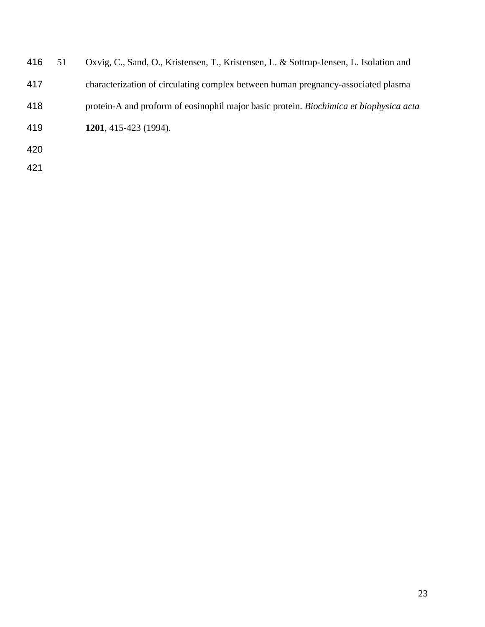<span id="page-22-0"></span>

| 416 | 51 | Oxvig, C., Sand, O., Kristensen, T., Kristensen, L. & Sottrup-Jensen, L. Isolation and |
|-----|----|----------------------------------------------------------------------------------------|
| 417 |    | characterization of circulating complex between human pregnancy-associated plasma      |
| 418 |    | protein-A and proform of eosinophil major basic protein. Biochimica et biophysica acta |
| 419 |    | 1201, 415-423 (1994).                                                                  |
| 420 |    |                                                                                        |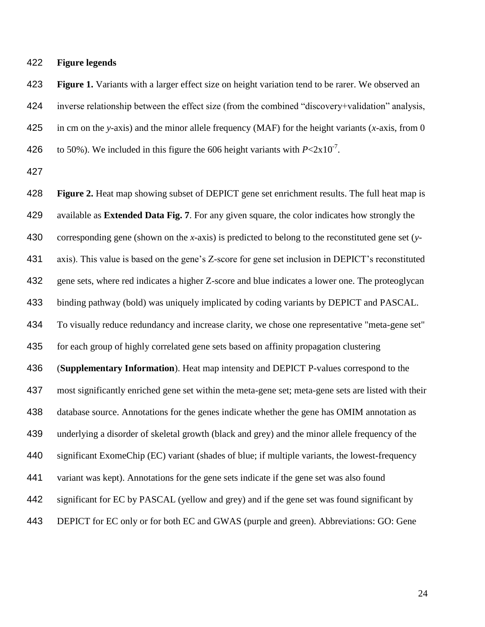**Figure legends**

 **Figure 1.** Variants with a larger effect size on height variation tend to be rarer. We observed an inverse relationship between the effect size (from the combined "discovery+validation" analysis, in cm on the *y*-axis) and the minor allele frequency (MAF) for the height variants (*x*-axis, from 0 426 to 50%). We included in this figure the 606 height variants with  $P < 2 \times 10^{-7}$ .

 **Figure 2.** Heat map showing subset of DEPICT gene set enrichment results. The full heat map is available as **Extended Data Fig. 7**. For any given square, the color indicates how strongly the corresponding gene (shown on the *x*-axis) is predicted to belong to the reconstituted gene set (*y*- axis). This value is based on the gene's Z-score for gene set inclusion in DEPICT's reconstituted gene sets, where red indicates a higher Z-score and blue indicates a lower one. The proteoglycan binding pathway (bold) was uniquely implicated by coding variants by DEPICT and PASCAL. To visually reduce redundancy and increase clarity, we chose one representative "meta-gene set" for each group of highly correlated gene sets based on affinity propagation clustering (**Supplementary Information**). Heat map intensity and DEPICT P-values correspond to the most significantly enriched gene set within the meta-gene set; meta-gene sets are listed with their database source. Annotations for the genes indicate whether the gene has OMIM annotation as underlying a disorder of skeletal growth (black and grey) and the minor allele frequency of the significant ExomeChip (EC) variant (shades of blue; if multiple variants, the lowest-frequency variant was kept). Annotations for the gene sets indicate if the gene set was also found significant for EC by PASCAL (yellow and grey) and if the gene set was found significant by DEPICT for EC only or for both EC and GWAS (purple and green). Abbreviations: GO: Gene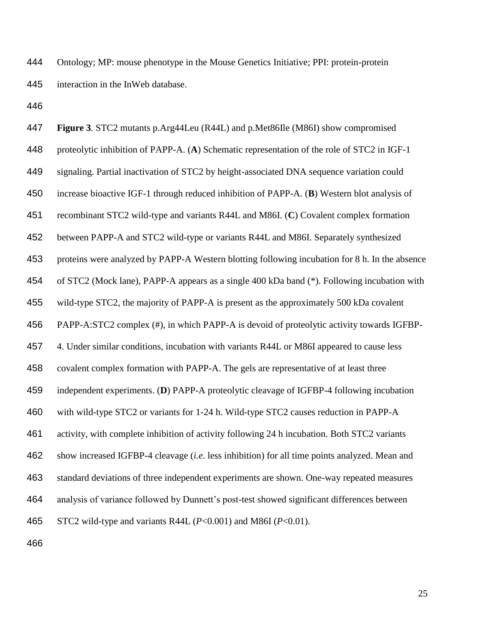Ontology; MP: mouse phenotype in the Mouse Genetics Initiative; PPI: protein-protein interaction in the InWeb database.

| 447 | Figure 3. STC2 mutants p.Arg44Leu (R44L) and p.Met86Ile (M86I) show compromised                |
|-----|------------------------------------------------------------------------------------------------|
| 448 | proteolytic inhibition of PAPP-A. (A) Schematic representation of the role of STC2 in IGF-1    |
| 449 | signaling. Partial inactivation of STC2 by height-associated DNA sequence variation could      |
| 450 | increase bioactive IGF-1 through reduced inhibition of PAPP-A. (B) Western blot analysis of    |
| 451 | recombinant STC2 wild-type and variants R44L and M86I. (C) Covalent complex formation          |
| 452 | between PAPP-A and STC2 wild-type or variants R44L and M86I. Separately synthesized            |
| 453 | proteins were analyzed by PAPP-A Western blotting following incubation for 8 h. In the absence |
| 454 | of STC2 (Mock lane), PAPP-A appears as a single 400 kDa band (*). Following incubation with    |
| 455 | wild-type STC2, the majority of PAPP-A is present as the approximately 500 kDa covalent        |
| 456 | PAPP-A:STC2 complex (#), in which PAPP-A is devoid of proteolytic activity towards IGFBP-      |
| 457 | 4. Under similar conditions, incubation with variants R44L or M86I appeared to cause less      |
| 458 | covalent complex formation with PAPP-A. The gels are representative of at least three          |
| 459 | independent experiments. (D) PAPP-A proteolytic cleavage of IGFBP-4 following incubation       |
| 460 | with wild-type STC2 or variants for 1-24 h. Wild-type STC2 causes reduction in PAPP-A          |
| 461 | activity, with complete inhibition of activity following 24 h incubation. Both STC2 variants   |
| 462 | show increased IGFBP-4 cleavage (i.e. less inhibition) for all time points analyzed. Mean and  |
| 463 | standard deviations of three independent experiments are shown. One-way repeated measures      |
| 464 | analysis of variance followed by Dunnett's post-test showed significant differences between    |
| 465 | STC2 wild-type and variants R44L ( $P<0.001$ ) and M86I ( $P<0.01$ ).                          |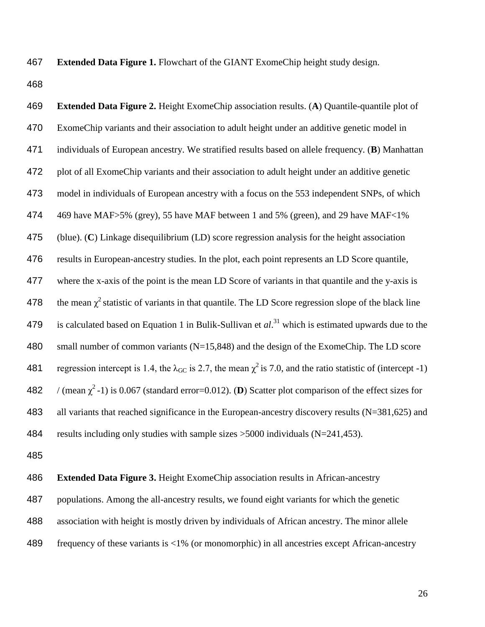**Extended Data Figure 1.** Flowchart of the GIANT ExomeChip height study design.

 **Extended Data Figure 2.** Height ExomeChip association results. (**A**) Quantile-quantile plot of ExomeChip variants and their association to adult height under an additive genetic model in individuals of European ancestry. We stratified results based on allele frequency. (**B**) Manhattan plot of all ExomeChip variants and their association to adult height under an additive genetic model in individuals of European ancestry with a focus on the 553 independent SNPs, of which 469 have MAF>5% (grey), 55 have MAF between 1 and 5% (green), and 29 have MAF<1% (blue). (**C**) Linkage disequilibrium (LD) score regression analysis for the height association results in European-ancestry studies. In the plot, each point represents an LD Score quantile, where the x-axis of the point is the mean LD Score of variants in that quantile and the y-axis is 478 the mean  $\chi^2$  statistic of variants in that quantile. The LD Score regression slope of the black line 479 is calculated based on Equation 1 in Bulik-Sullivan et  $al.^{31}$  $al.^{31}$  $al.^{31}$  which is estimated upwards due to the 480 small number of common variants (N=15,848) and the design of the ExomeChip. The LD score 481 regression intercept is 1.4, the  $\lambda_{GC}$  is 2.7, the mean  $\chi^2$  is 7.0, and the ratio statistic of (intercept -1)  $\pi$  / (mean  $\chi^2$ -1) is 0.067 (standard error=0.012). (**D**) Scatter plot comparison of the effect sizes for 483 all variants that reached significance in the European-ancestry discovery results (N=381,625) and results including only studies with sample sizes >5000 individuals (N=241,453).

**Extended Data Figure 3.** Height ExomeChip association results in African-ancestry

populations. Among the all-ancestry results, we found eight variants for which the genetic

association with height is mostly driven by individuals of African ancestry. The minor allele

frequency of these variants is <1% (or monomorphic) in all ancestries except African-ancestry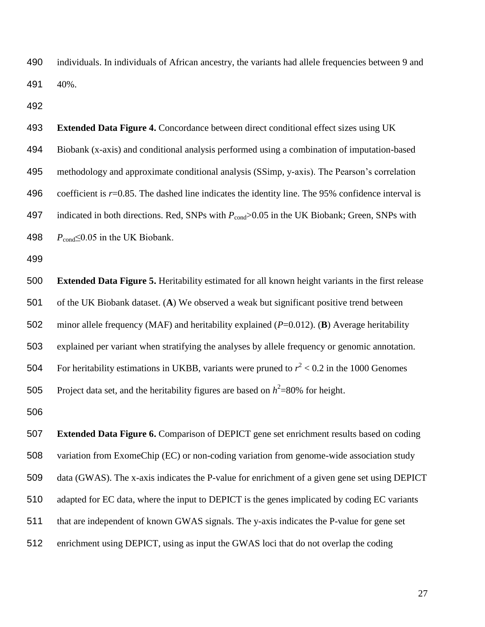individuals. In individuals of African ancestry, the variants had allele frequencies between 9 and 40%.

 **Extended Data Figure 4.** Concordance between direct conditional effect sizes using UK Biobank (x-axis) and conditional analysis performed using a combination of imputation-based methodology and approximate conditional analysis (SSimp, y-axis). The Pearson's correlation coefficient is *r*=0.85. The dashed line indicates the identity line. The 95% confidence interval is 497 indicated in both directions. Red, SNPs with  $P_{cond}$ >0.05 in the UK Biobank; Green, SNPs with  $P_{\text{cond}} \leq 0.05$  in the UK Biobank.

 **Extended Data Figure 5.** Heritability estimated for all known height variants in the first release of the UK Biobank dataset. (**A**) We observed a weak but significant positive trend between minor allele frequency (MAF) and heritability explained (*P*=0.012). (**B**) Average heritability explained per variant when stratifying the analyses by allele frequency or genomic annotation. 504 For heritability estimations in UKBB, variants were pruned to  $r^2 < 0.2$  in the 1000 Genomes 505 Project data set, and the heritability figures are based on  $h^2$ =80% for height.

 **Extended Data Figure 6.** Comparison of DEPICT gene set enrichment results based on coding variation from ExomeChip (EC) or non-coding variation from genome-wide association study data (GWAS). The x-axis indicates the P-value for enrichment of a given gene set using DEPICT adapted for EC data, where the input to DEPICT is the genes implicated by coding EC variants that are independent of known GWAS signals. The y-axis indicates the P-value for gene set enrichment using DEPICT, using as input the GWAS loci that do not overlap the coding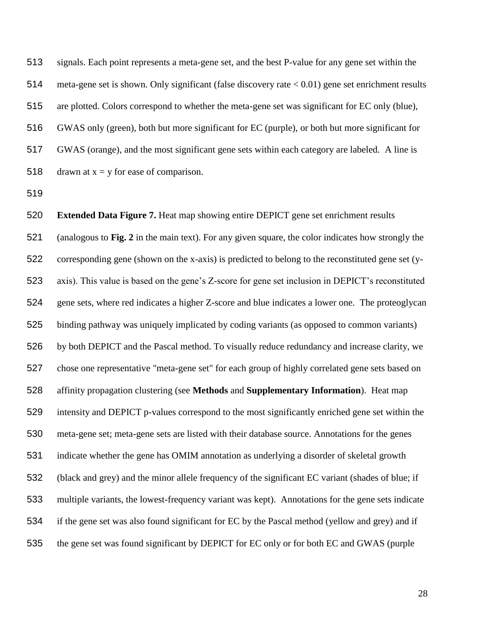signals. Each point represents a meta-gene set, and the best P-value for any gene set within the meta-gene set is shown. Only significant (false discovery rate < 0.01) gene set enrichment results are plotted. Colors correspond to whether the meta-gene set was significant for EC only (blue), GWAS only (green), both but more significant for EC (purple), or both but more significant for GWAS (orange), and the most significant gene sets within each category are labeled. A line is 518 drawn at  $x = y$  for ease of comparison.

 **Extended Data Figure 7.** Heat map showing entire DEPICT gene set enrichment results (analogous to **Fig. 2** in the main text). For any given square, the color indicates how strongly the corresponding gene (shown on the x-axis) is predicted to belong to the reconstituted gene set (y- axis). This value is based on the gene's Z-score for gene set inclusion in DEPICT's reconstituted gene sets, where red indicates a higher Z-score and blue indicates a lower one. The proteoglycan binding pathway was uniquely implicated by coding variants (as opposed to common variants) by both DEPICT and the Pascal method. To visually reduce redundancy and increase clarity, we chose one representative "meta-gene set" for each group of highly correlated gene sets based on affinity propagation clustering (see **Methods** and **Supplementary Information**). Heat map intensity and DEPICT p-values correspond to the most significantly enriched gene set within the meta-gene set; meta-gene sets are listed with their database source. Annotations for the genes indicate whether the gene has OMIM annotation as underlying a disorder of skeletal growth (black and grey) and the minor allele frequency of the significant EC variant (shades of blue; if multiple variants, the lowest-frequency variant was kept). Annotations for the gene sets indicate if the gene set was also found significant for EC by the Pascal method (yellow and grey) and if the gene set was found significant by DEPICT for EC only or for both EC and GWAS (purple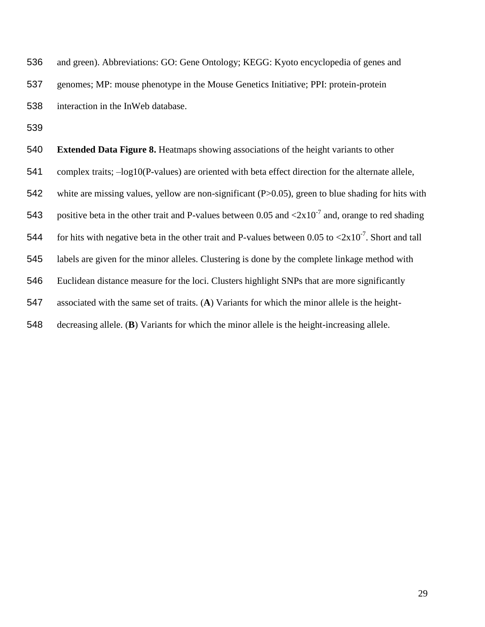| 536 | and green). Abbreviations: GO: Gene Ontology; KEGG: Kyoto encyclopedia of genes and                                      |
|-----|--------------------------------------------------------------------------------------------------------------------------|
| 537 | genomes; MP: mouse phenotype in the Mouse Genetics Initiative; PPI: protein-protein                                      |
| 538 | interaction in the InWeb database.                                                                                       |
| 539 |                                                                                                                          |
| 540 | <b>Extended Data Figure 8.</b> Heatmaps showing associations of the height variants to other                             |
| 541 | complex traits; $-\log 10(P$ -values) are oriented with beta effect direction for the alternate allele,                  |
| 542 | white are missing values, yellow are non-significant $(P>0.05)$ , green to blue shading for hits with                    |
| 543 | positive beta in the other trait and P-values between 0.05 and $\langle 2x10^7$ and, orange to red shading               |
| 544 | for hits with negative beta in the other trait and P-values between 0.05 to $\langle 2x10^{-7} \rangle$ . Short and tall |
| 545 | labels are given for the minor alleles. Clustering is done by the complete linkage method with                           |
| 546 | Euclidean distance measure for the loci. Clusters highlight SNPs that are more significantly                             |
|     |                                                                                                                          |

associated with the same set of traits. (**A**) Variants for which the minor allele is the height-

decreasing allele. (**B**) Variants for which the minor allele is the height-increasing allele.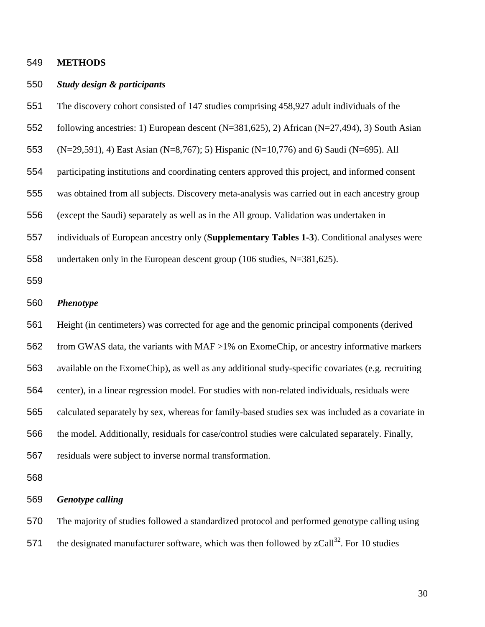### **METHODS**

#### *Study design & participants*

- The discovery cohort consisted of 147 studies comprising 458,927 adult individuals of the
- following ancestries: 1) European descent (N=381,625), 2) African (N=27,494), 3) South Asian
- (N=29,591), 4) East Asian (N=8,767); 5) Hispanic (N=10,776) and 6) Saudi (N=695). All
- participating institutions and coordinating centers approved this project, and informed consent
- was obtained from all subjects. Discovery meta-analysis was carried out in each ancestry group
- (except the Saudi) separately as well as in the All group. Validation was undertaken in
- individuals of European ancestry only (**Supplementary Tables 1-3**). Conditional analyses were
- undertaken only in the European descent group (106 studies, N=381,625).

### *Phenotype*

 Height (in centimeters) was corrected for age and the genomic principal components (derived from GWAS data, the variants with MAF >1% on ExomeChip, or ancestry informative markers available on the ExomeChip), as well as any additional study-specific covariates (e.g. recruiting center), in a linear regression model. For studies with non-related individuals, residuals were calculated separately by sex, whereas for family-based studies sex was included as a covariate in the model. Additionally, residuals for case/control studies were calculated separately. Finally, residuals were subject to inverse normal transformation.

#### *Genotype calling*

The majority of studies followed a standardized protocol and performed genotype calling using

571 the designated manufacturer software, which was then followed by  $zCall^{32}$  $zCall^{32}$  $zCall^{32}$ . For 10 studies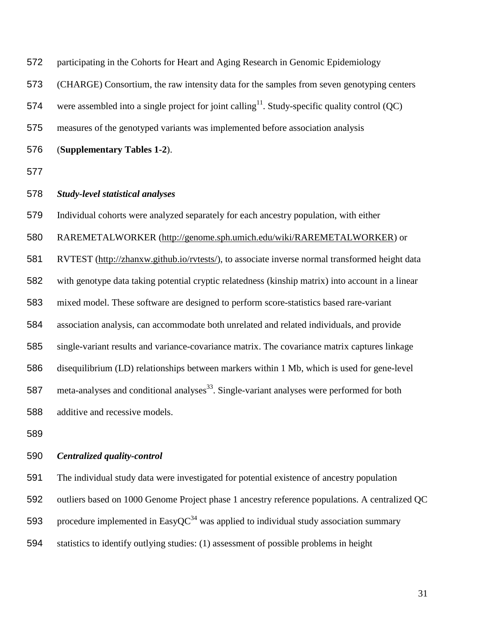| 572 | participating in the Cohorts for Heart and Aging Research in Genomic Epidemiology                            |
|-----|--------------------------------------------------------------------------------------------------------------|
| 573 | (CHARGE) Consortium, the raw intensity data for the samples from seven genotyping centers                    |
| 574 | were assembled into a single project for joint calling <sup>11</sup> . Study-specific quality control $(QC)$ |
| 575 | measures of the genotyped variants was implemented before association analysis                               |
| 576 | (Supplementary Tables 1-2).                                                                                  |
| 577 |                                                                                                              |
| 578 | <b>Study-level statistical analyses</b>                                                                      |
| 579 | Individual cohorts were analyzed separately for each ancestry population, with either                        |
| 580 | RAREMETALWORKER (http://genome.sph.umich.edu/wiki/RAREMETALWORKER) or                                        |
| 581 | RVTEST (http://zhanxw.github.io/rvtests/), to associate inverse normal transformed height data               |
| 582 | with genotype data taking potential cryptic relatedness (kinship matrix) into account in a linear            |
| 583 | mixed model. These software are designed to perform score-statistics based rare-variant                      |
| 584 | association analysis, can accommodate both unrelated and related individuals, and provide                    |
| 585 | single-variant results and variance-covariance matrix. The covariance matrix captures linkage                |
| 586 | disequilibrium (LD) relationships between markers within 1 Mb, which is used for gene-level                  |
| 587 | meta-analyses and conditional analyses <sup>33</sup> . Single-variant analyses were performed for both       |
| 588 | additive and recessive models.                                                                               |
|     |                                                                                                              |

# *Centralized quality-control*

The individual study data were investigated for potential existence of ancestry population

outliers based on 1000 Genome Project phase 1 ancestry reference populations. A centralized QC

593 procedure implemented in EasyQC<sup>[34](#page-20-3)</sup> was applied to individual study association summary

statistics to identify outlying studies: (1) assessment of possible problems in height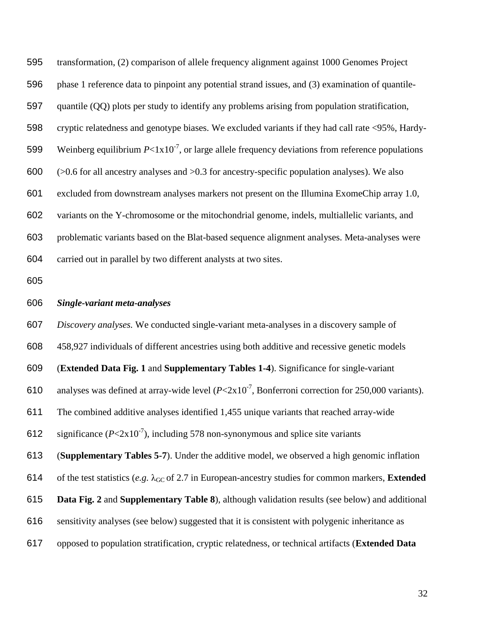transformation, (2) comparison of allele frequency alignment against 1000 Genomes Project phase 1 reference data to pinpoint any potential strand issues, and (3) examination of quantile- quantile (QQ) plots per study to identify any problems arising from population stratification, cryptic relatedness and genotype biases. We excluded variants if they had call rate <95%, Hardy-599 Weinberg equilibrium  $P < 1x10^{-7}$ , or large allele frequency deviations from reference populations  $\leq 0.6$  for all ancestry analyses and  $> 0.3$  for ancestry-specific population analyses). We also excluded from downstream analyses markers not present on the Illumina ExomeChip array 1.0, variants on the Y-chromosome or the mitochondrial genome, indels, multiallelic variants, and problematic variants based on the Blat-based sequence alignment analyses. Meta-analyses were carried out in parallel by two different analysts at two sites.

### *Single-variant meta-analyses*

 *Discovery analyses.* We conducted single-variant meta-analyses in a discovery sample of 458,927 individuals of different ancestries using both additive and recessive genetic models (**Extended Data Fig. 1** and **Supplementary Tables 1-4**). Significance for single-variant 610 analyses was defined at array-wide level  $(P< 2x10^{-7})$ , Bonferroni correction for 250,000 variants). The combined additive analyses identified 1,455 unique variants that reached array-wide 612 significance  $(P< 2x10^{-7})$ , including 578 non-synonymous and splice site variants (**Supplementary Tables 5-7**). Under the additive model, we observed a high genomic inflation 614 of the test statistics (*e.g.*  $\lambda_{\text{GC}}$  of 2.7 in European-ancestry studies for common markers, **Extended Data Fig. 2** and **Supplementary Table 8**), although validation results (see below) and additional sensitivity analyses (see below) suggested that it is consistent with polygenic inheritance as opposed to population stratification, cryptic relatedness, or technical artifacts (**Extended Data**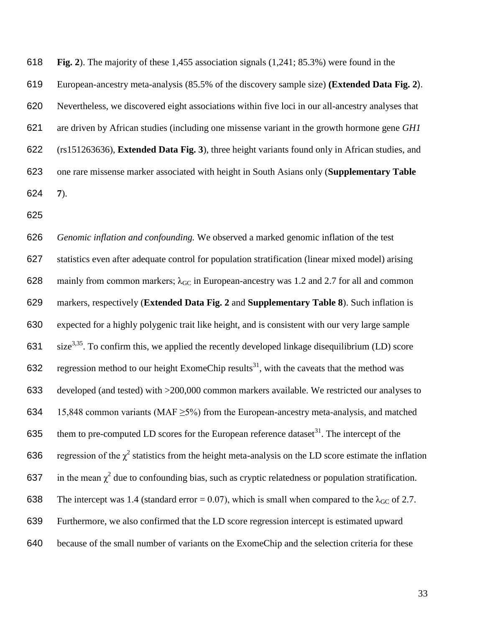**Fig. 2**). The majority of these 1,455 association signals (1,241; 85.3%) were found in the

European-ancestry meta-analysis (85.5% of the discovery sample size) **(Extended Data Fig. 2**).

Nevertheless, we discovered eight associations within five loci in our all-ancestry analyses that

 are driven by African studies (including one missense variant in the growth hormone gene *GH1*  (rs151263636), **Extended Data Fig. 3**), three height variants found only in African studies, and one rare missense marker associated with height in South Asians only (**Supplementary Table 7**).

 *Genomic inflation and confounding.* We observed a marked genomic inflation of the test statistics even after adequate control for population stratification (linear mixed model) arising 628 mainly from common markers;  $\lambda_{GC}$  in European-ancestry was 1.2 and 2.7 for all and common markers, respectively (**Extended Data Fig. 2** and **Supplementary Table 8**). Such inflation is expected for a highly polygenic trait like height, and is consistent with our very large sample 631  $size^{3,35}$  $size^{3,35}$  $size^{3,35}$  $size^{3,35}$ . To confirm this, we applied the recently developed linkage disequilibrium (LD) score 632 regression method to our height ExomeChip results<sup>[31](#page-20-0)</sup>, with the caveats that the method was developed (and tested) with >200,000 common markers available. We restricted our analyses to 634 15,848 common variants (MAF  $\geq$ 5%) from the European-ancestry meta-analysis, and matched 635 them to pre-computed LD scores for the European reference dataset<sup>[31](#page-20-0)</sup>. The intercept of the 636 regression of the  $\chi^2$  statistics from the height meta-analysis on the LD score estimate the inflation 637 in the mean  $\chi^2$  due to confounding bias, such as cryptic relatedness or population stratification. 638 The intercept was 1.4 (standard error = 0.07), which is small when compared to the  $\lambda_{\rm GC}$  of 2.7. Furthermore, we also confirmed that the LD score regression intercept is estimated upward because of the small number of variants on the ExomeChip and the selection criteria for these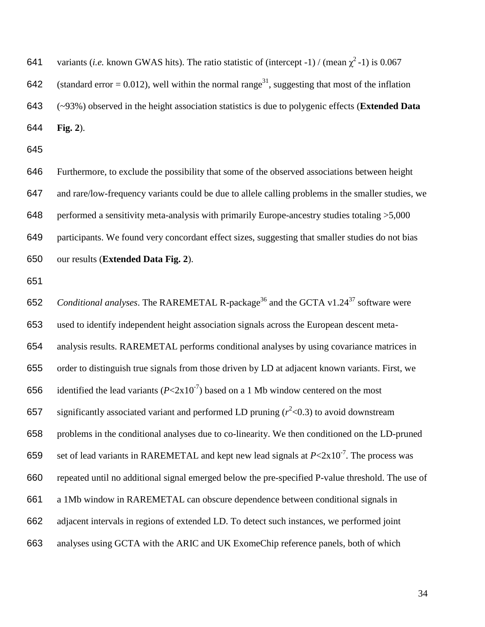641 variants (*i.e.* known GWAS hits). The ratio statistic of (intercept -1) / (mean  $\chi^2$ -1) is 0.067

642 (standard error = 0.012), well within the normal range<sup>[31](#page-20-0)</sup>, suggesting that most of the inflation

 (~93%) observed in the height association statistics is due to polygenic effects (**Extended Data Fig. 2**).

 Furthermore, to exclude the possibility that some of the observed associations between height and rare/low-frequency variants could be due to allele calling problems in the smaller studies, we performed a sensitivity meta-analysis with primarily Europe-ancestry studies totaling >5,000 participants. We found very concordant effect sizes, suggesting that smaller studies do not bias our results (**Extended Data Fig. 2**).

652 Conditional analyses. The RAREMETAL R-package<sup>[36](#page-20-5)</sup> and the GCTA v1.24<sup>[37](#page-20-6)</sup> software were used to identify independent height association signals across the European descent meta- analysis results. RAREMETAL performs conditional analyses by using covariance matrices in order to distinguish true signals from those driven by LD at adjacent known variants. First, we 656 identified the lead variants  $(P< 2x 10<sup>-7</sup>)$  based on a 1 Mb window centered on the most 657 significantly associated variant and performed LD pruning  $(r^2<0.3)$  to avoid downstream problems in the conditional analyses due to co-linearity. We then conditioned on the LD-pruned 659 set of lead variants in RAREMETAL and kept new lead signals at  $P < 2 \times 10^{-7}$ . The process was repeated until no additional signal emerged below the pre-specified P-value threshold. The use of a 1Mb window in RAREMETAL can obscure dependence between conditional signals in adjacent intervals in regions of extended LD. To detect such instances, we performed joint analyses using GCTA with the ARIC and UK ExomeChip reference panels, both of which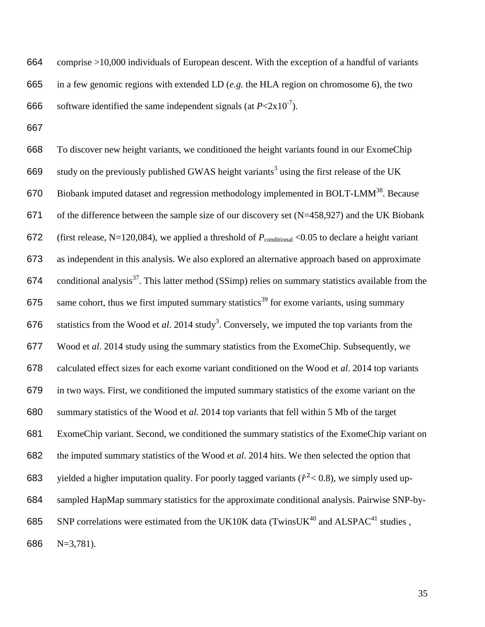comprise >10,000 individuals of European descent. With the exception of a handful of variants in a few genomic regions with extended LD (*e.g.* the HLA region on chromosome 6), the two 666 software identified the same independent signals (at  $P < 2x10^{-7}$ ).

 To discover new height variants, we conditioned the height variants found in our ExomeChip 669 study on the previously published GWAS height variants<sup>[3](#page-17-2)</sup> using the first release of the UK 670 Biobank imputed dataset and regression methodology implemented in BOLT-LMM<sup>[38](#page-20-7)</sup>. Because of the difference between the sample size of our discovery set (N=458,927) and the UK Biobank 672 (first release, N=120,084), we applied a threshold of  $P_{\text{conditional}} < 0.05$  to declare a height variant as independent in this analysis. We also explored an alternative approach based on approximate 674 conditional analysis<sup>[37](#page-20-6)</sup>. This latter method (SSimp) relies on summary statistics available from the 675 same cohort, thus we first imputed summary statistics<sup>[39](#page-20-8)</sup> for exome variants, using summary 676 statistics from the Wood et  $al$ . 2014 stud[y](#page-17-2)<sup>3</sup>. Conversely, we imputed the top variants from the Wood et *al*. 2014 study using the summary statistics from the ExomeChip. Subsequently, we calculated effect sizes for each exome variant conditioned on the Wood et *al*. 2014 top variants in two ways. First, we conditioned the imputed summary statistics of the exome variant on the summary statistics of the Wood et *al*. 2014 top variants that fell within 5 Mb of the target ExomeChip variant. Second, we conditioned the summary statistics of the ExomeChip variant on the imputed summary statistics of the Wood et *al*. 2014 hits. We then selected the option that 683 yielded a higher imputation quality. For poorly tagged variants ( $\hat{r}^2$  < 0.8), we simply used up- sampled HapMap summary statistics for the approximate conditional analysis. Pairwise SNP-by-685 SNP correlations were estimated from the UK10K data (TwinsUK<sup>[40](#page-20-9)</sup> and ALSPAC<sup>[41](#page-21-0)</sup> studies, N=3,781).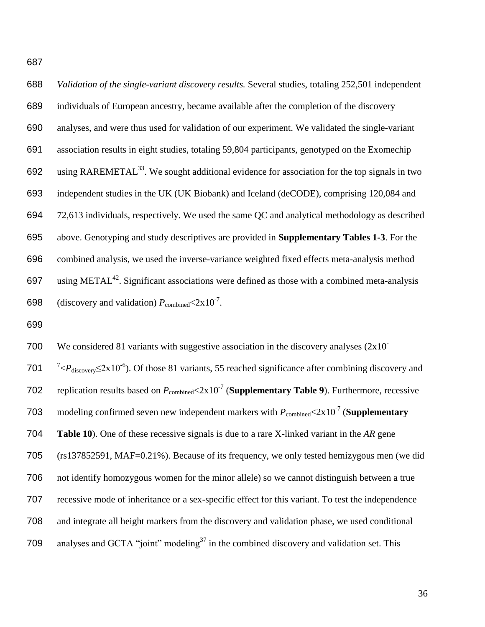*Validation of the single-variant discovery results.* Several studies, totaling 252,501 independent individuals of European ancestry, became available after the completion of the discovery analyses, and were thus used for validation of our experiment. We validated the single-variant association results in eight studies, totaling 59,804 participants, genotyped on the Exomechip 692 using RAREMETAL<sup>[33](#page-20-2)</sup>. We sought additional evidence for association for the top signals in two independent studies in the UK (UK Biobank) and Iceland (deCODE), comprising 120,084 and 72,613 individuals, respectively. We used the same QC and analytical methodology as described above. Genotyping and study descriptives are provided in **Supplementary Tables 1-3**. For the combined analysis, we used the inverse-variance weighted fixed effects meta-analysis method 697 using METAL<sup>[42](#page-21-1)</sup>. Significant associations were defined as those with a combined meta-analysis 698 (discovery and validation)  $P_{\text{combined}} < 2 \times 10^{-7}$ .

We considered 81 variants with suggestive association in the discovery analyses  $(2x10^{-1})$  701 <sup>7</sup>< $P_{\text{discovery}} \leq 2x10^{-6}$ ). Of those 81 variants, 55 reached significance after combining discovery and 702 replication results based on  $P_{\text{combined}} < 2 \times 10^{-7}$  (**Supplementary Table 9**). Furthermore, recessive 703 modeling confirmed seven new independent markers with  $P_{\text{combined}} < 2 \times 10^{-7}$  (**Supplementary Table 10**). One of these recessive signals is due to a rare X-linked variant in the *AR* gene (rs137852591, MAF=0.21%). Because of its frequency, we only tested hemizygous men (we did not identify homozygous women for the minor allele) so we cannot distinguish between a true recessive mode of inheritance or a sex-specific effect for this variant. To test the independence and integrate all height markers from the discovery and validation phase, we used conditional 709 analyses and GCTA "joint" modeling<sup>[37](#page-20-6)</sup> in the combined discovery and validation set. This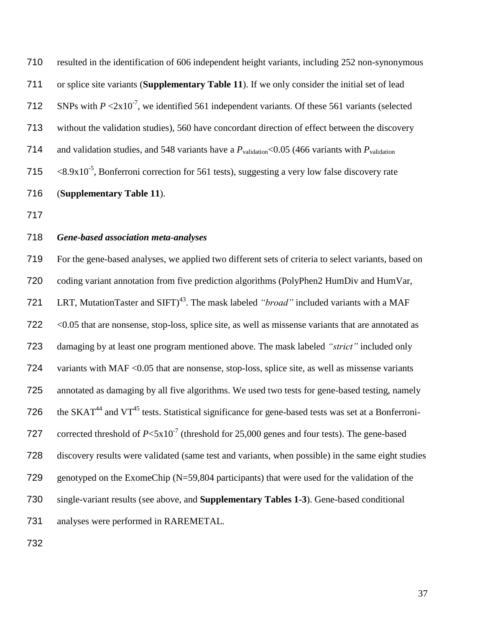resulted in the identification of 606 independent height variants, including 252 non-synonymous or splice site variants (**Supplementary Table 11**). If we only consider the initial set of lead 712 SNPs with  $P \le 2x10^{-7}$ , we identified 561 independent variants. Of these 561 variants (selected without the validation studies), 560 have concordant direction of effect between the discovery 714 and validation studies, and 548 variants have a  $P_{\text{validation}}$ <0.05 (466 variants with  $P_{\text{validation}}$ )  $\leq 8.9x10^{-5}$ , Bonferroni correction for 561 tests), suggesting a very low false discovery rate (**Supplementary Table 11**).

## *Gene-based association meta-analyses*

 For the gene-based analyses, we applied two different sets of criteria to select variants, based on coding variant annotation from five prediction algorithms (PolyPhen2 HumDiv and HumVar, 721 LRT, MutationTaster and SIFT)<sup>[43](#page-21-2)</sup>. The mask labeled *"broad"* included variants with a MAF <0.05 that are nonsense, stop-loss, splice site, as well as missense variants that are annotated as damaging by at least one program mentioned above. The mask labeled *"strict"* included only 724 variants with MAF < 0.05 that are nonsense, stop-loss, splice site, as well as missense variants annotated as damaging by all five algorithms. We used two tests for gene-based testing, namely 726 the SKAT<sup>[44](#page-21-3)</sup> and VT<sup>[45](#page-21-4)</sup> tests. Statistical significance for gene-based tests was set at a Bonferroni-727 corrected threshold of  $P < 5x10^{-7}$  (threshold for 25,000 genes and four tests). The gene-based discovery results were validated (same test and variants, when possible) in the same eight studies genotyped on the ExomeChip (N=59,804 participants) that were used for the validation of the single-variant results (see above, and **Supplementary Tables 1-3**). Gene-based conditional analyses were performed in RAREMETAL.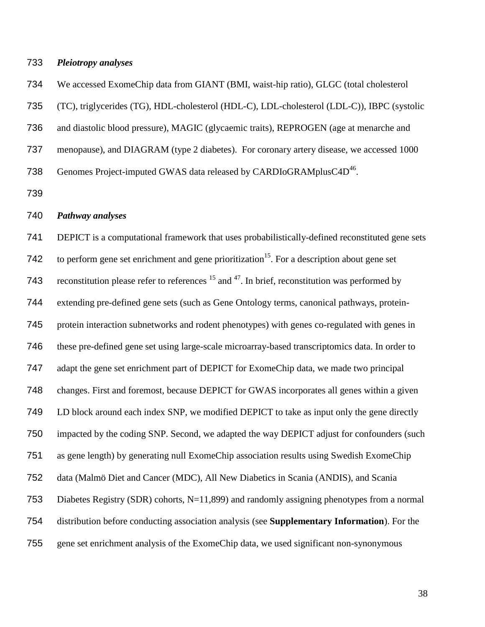### *Pleiotropy analyses*

We accessed ExomeChip data from GIANT (BMI, waist-hip ratio), GLGC (total cholesterol

(TC), triglycerides (TG), HDL-cholesterol (HDL-C), LDL-cholesterol (LDL-C)), IBPC (systolic

and diastolic blood pressure), MAGIC (glycaemic traits), REPROGEN (age at menarche and

menopause), and DIAGRAM (type 2 diabetes). For coronary artery disease, we accessed 1000

738 Genomes Project-imputed GWAS data released by CARDIoGRAMplusC4D<sup>[46](#page-21-5)</sup>.

## *Pathway analyses*

 DEPICT is a computational framework that uses probabilistically-defined reconstituted gene sets 742 to perform gene set enrichment and gene prioritization<sup>[15](#page-18-4)</sup>. For a description about gene set 743 reconstitution please refer to references and  $47$ . In brief, reconstitution was performed by extending pre-defined gene sets (such as Gene Ontology terms, canonical pathways, protein- protein interaction subnetworks and rodent phenotypes) with genes co-regulated with genes in these pre-defined gene set using large-scale microarray-based transcriptomics data. In order to adapt the gene set enrichment part of DEPICT for ExomeChip data, we made two principal changes. First and foremost, because DEPICT for GWAS incorporates all genes within a given LD block around each index SNP, we modified DEPICT to take as input only the gene directly impacted by the coding SNP. Second, we adapted the way DEPICT adjust for confounders (such as gene length) by generating null ExomeChip association results using Swedish ExomeChip data (Malmö Diet and Cancer (MDC), All New Diabetics in Scania (ANDIS), and Scania Diabetes Registry (SDR) cohorts, N=11,899) and randomly assigning phenotypes from a normal distribution before conducting association analysis (see **Supplementary Information**). For the gene set enrichment analysis of the ExomeChip data, we used significant non-synonymous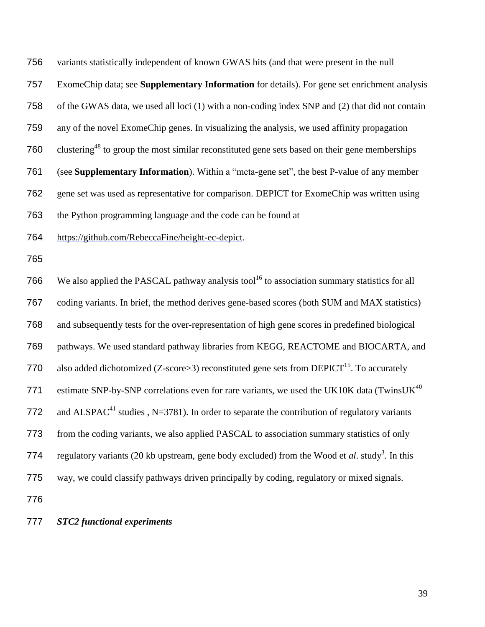variants statistically independent of known GWAS hits (and that were present in the null ExomeChip data; see **Supplementary Information** for details). For gene set enrichment analysis of the GWAS data, we used all loci (1) with a non-coding index SNP and (2) that did not contain any of the novel ExomeChip genes. In visualizing the analysis, we used affinity propagation 760 clustering<sup>[48](#page-21-7)</sup> to group the most similar reconstituted gene sets based on their gene memberships (see **Supplementary Information**). Within a "meta-gene set", the best P-value of any member gene set was used as representative for comparison. DEPICT for ExomeChip was written using the Python programming language and the code can be found at https://github.com/RebeccaFine/height-ec-depict. 766 We also applied the PASCAL pathway analysis tool<sup>[16](#page-18-5)</sup> to association summary statistics for all coding variants. In brief, the method derives gene-based scores (both SUM and MAX statistics) and subsequently tests for the over-representation of high gene scores in predefined biological pathways. We used standard pathway libraries from KEGG, REACTOME and BIOCARTA, and 770 also added dichotomized (Z-score>3) reconstituted gene sets from DEPICT<sup>[15](#page-18-4)</sup>. To accurately 771 estimate SNP-by-SNP correlations even for rare variants, we used the UK10K data (TwinsUK<sup>[40](#page-20-9)</sup> 772 and ALSPAC<sup>[41](#page-21-0)</sup> studies , N=3781). In order to separate the contribution of regulatory variants from the coding variants, we also applied PASCAL to association summary statistics of only 774 regulator[y](#page-17-2) variants (20 kb upstream, gene body excluded) from the Wood et  $al$ . study<sup>3</sup>. In this way, we could classify pathways driven principally by coding, regulatory or mixed signals.

*STC2 functional experiments*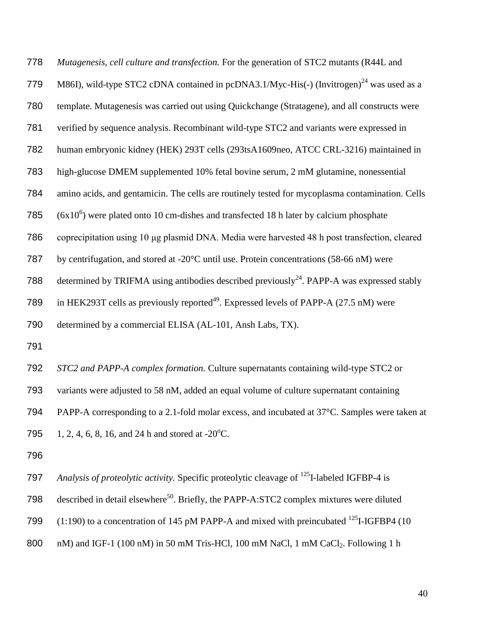*Mutagenesis, cell culture and transfection.* For the generation of STC2 mutants (R44L and 779 M86I), wild-type STC2 cDNA contained in pcDNA3.1/Myc-His(-) (Invitrogen)<sup>[24](#page-19-4)</sup> was used as a template. Mutagenesis was carried out using Quickchange (Stratagene), and all constructs were verified by sequence analysis. Recombinant wild-type STC2 and variants were expressed in human embryonic kidney (HEK) 293T cells (293tsA1609neo, ATCC CRL-3216) maintained in high-glucose DMEM supplemented 10% fetal bovine serum, 2 mM glutamine, nonessential amino acids, and gentamicin. The cells are routinely tested for mycoplasma contamination. Cells 785 ( $6x10^6$ ) were plated onto 10 cm-dishes and transfected 18 h later by calcium phosphate coprecipitation using 10 μg plasmid DNA. Media were harvested 48 h post transfection, cleared by centrifugation, and stored at -20°C until use. Protein concentrations (58-66 nM) were 788 determined by TRIFMA using antibodies described previously<sup>[24](#page-19-4)</sup>. PAPP-A was expressed stably 789 in HEK293T cells as previously reported<sup>[49](#page-21-8)</sup>. Expressed levels of PAPP-A (27.5 nM) were determined by a commercial ELISA (AL-101, Ansh Labs, TX). 

*STC2 and PAPP-A complex formation.* Culture supernatants containing wild-type STC2 or

variants were adjusted to 58 nM, added an equal volume of culture supernatant containing

PAPP-A corresponding to a 2.1-fold molar excess, and incubated at 37°C. Samples were taken at

795 1, 2, 4, 6, 8, 16, and 24 h and stored at -20 $^{\circ}$ C.

*Analysis of proteolytic activity.* Specific proteolytic cleavage of <sup>125</sup>I-labeled IGFBP-4 is

- 798 described in detail elsewhere<sup>[50](#page-21-9)</sup>. Briefly, the PAPP-A:STC2 complex mixtures were diluted
- 799  $(1:190)$  to a concentration of 145 pM PAPP-A and mixed with preincubated <sup>125</sup>I-IGFBP4 (10
- 800 nM) and IGF-1 (100 nM) in 50 mM Tris-HCl, 100 mM NaCl, 1 mM CaCl<sub>2</sub>. Following 1 h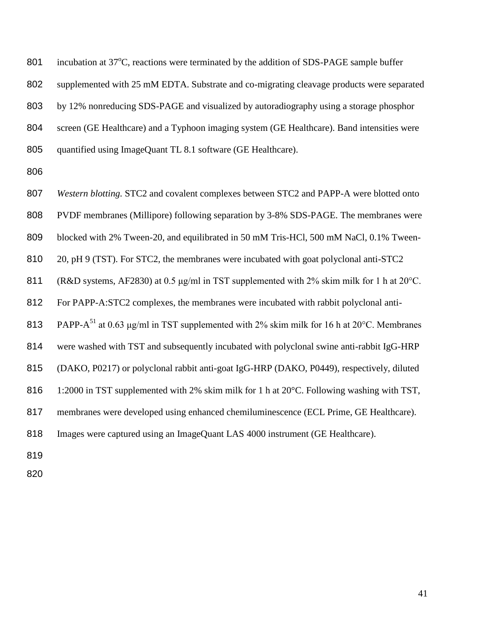801 incubation at  $37^{\circ}$ C, reactions were terminated by the addition of SDS-PAGE sample buffer supplemented with 25 mM EDTA. Substrate and co-migrating cleavage products were separated by 12% nonreducing SDS-PAGE and visualized by autoradiography using a storage phosphor screen (GE Healthcare) and a Typhoon imaging system (GE Healthcare). Band intensities were 805 quantified using ImageQuant TL 8.1 software (GE Healthcare).

 *Western blotting.* STC2 and covalent complexes between STC2 and PAPP-A were blotted onto PVDF membranes (Millipore) following separation by 3-8% SDS-PAGE. The membranes were blocked with 2% Tween-20, and equilibrated in 50 mM Tris-HCl, 500 mM NaCl, 0.1% Tween- 20, pH 9 (TST). For STC2, the membranes were incubated with goat polyclonal anti-STC2 (R&D systems, AF2830) at 0.5 μg/ml in TST supplemented with 2% skim milk for 1 h at 20°C. For PAPP-A:STC2 complexes, the membranes were incubated with rabbit polyclonal anti-813 PAPP-A<sup>[51](#page-22-0)</sup> at 0.63  $\mu$ g/ml in TST supplemented with 2% skim milk for 16 h at 20°C. Membranes were washed with TST and subsequently incubated with polyclonal swine anti-rabbit IgG-HRP (DAKO, P0217) or polyclonal rabbit anti-goat IgG-HRP (DAKO, P0449), respectively, diluted 816 1:2000 in TST supplemented with 2% skim milk for 1 h at 20°C. Following washing with TST, membranes were developed using enhanced chemiluminescence (ECL Prime, GE Healthcare). Images were captured using an ImageQuant LAS 4000 instrument (GE Healthcare).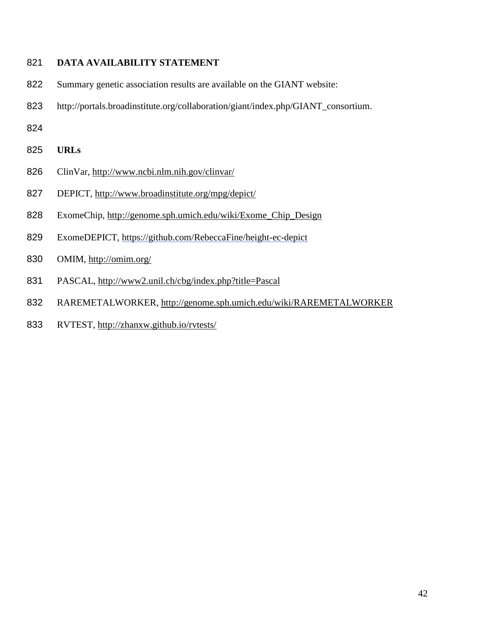# **DATA AVAILABILITY STATEMENT**

- Summary genetic association results are available on the GIANT website:
- http://portals.broadinstitute.org/collaboration/giant/index.php/GIANT\_consortium.
- 
- **URLs**
- ClinVar,<http://www.ncbi.nlm.nih.gov/clinvar/>
- DEPICT,<http://www.broadinstitute.org/mpg/depict/>
- ExomeChip, [http://genome.sph.umich.edu/wiki/Exome\\_Chip\\_Design](http://genome.sph.umich.edu/wiki/Exome_Chip_Design)
- ExomeDEPICT, https://github.com/RebeccaFine/height-ec-depict
- OMIM,<http://omim.org/>
- PASCAL, http://www2.unil.ch/cbg/index.php?title=Pascal
- RAREMETALWORKER,<http://genome.sph.umich.edu/wiki/RAREMETALWORKER>
- RVTEST,<http://zhanxw.github.io/rvtests/>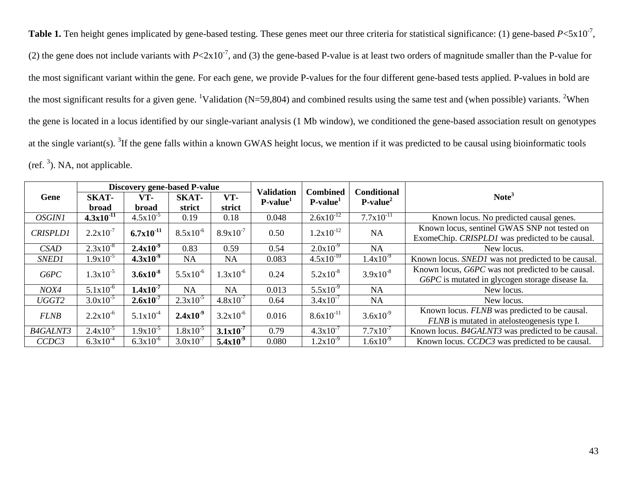**Table 1.** Ten height genes implicated by gene-based testing. These genes meet our three criteria for statistical significance: (1) gene-based  $P \le 5 \times 10^{-7}$ , (2) the gene does not include variants with  $P \le 2 \times 10^{-7}$ , and (3) the gene-based P-value is at least two orders of magnitude smaller than the P-value for the most significant variant within the gene. For each gene, we provide P-values for the four different gene-based tests applied. P-values in bold are the most significant results for a given gene. <sup>1</sup>Validation (N=59,804) and combined results using the same test and (when possible) variants. <sup>2</sup>When the gene is located in a locus identified by our single-variant analysis (1 Mb window), we conditioned the gene-based association result on genotypes at the single variant(s). <sup>3</sup>If the gene falls within a known GWAS height locus, we mention if it was predicted to be causal using bioinformatic tools (ref.  $3$ [\)](#page-17-6). NA, not applicable.

|                 | <b>Discovery gene-based P-value</b> |                |               |               | <b>Validation</b> | <b>Combined</b> | <b>Conditional</b> |                                                                                                 |
|-----------------|-------------------------------------|----------------|---------------|---------------|-------------------|-----------------|--------------------|-------------------------------------------------------------------------------------------------|
| Gene            | SKAT-                               | VT-            | <b>SKAT-</b>  | VT-           | $P-value1$        | $P-value1$      | $P-value2$         | Note <sup>3</sup>                                                                               |
|                 | <b>broad</b>                        | <b>broad</b>   | strict        | strict        |                   |                 |                    |                                                                                                 |
| <b>OSGIN1</b>   | $4.3x10^{-11}$                      | $4.5x10^{-5}$  | 0.19          | 0.18          | 0.048             | $2.6x10^{-12}$  | $7.7x10^{-11}$     | Known locus. No predicted causal genes.                                                         |
| <b>CRISPLD1</b> | $2.2 \times 10^{-7}$                | $6.7x10^{-11}$ | $8.5x10^{-6}$ | $8.9x10^{-7}$ | 0.50              | $1.2x10^{-12}$  | <b>NA</b>          | Known locus, sentinel GWAS SNP not tested on<br>ExomeChip. CRISPLD1 was predicted to be causal. |
| CSAD            | $2.3x10^{-8}$                       | $2.4x10^{-9}$  | 0.83          | 0.59          | 0.54              | $2.0x10^{3}$    | <b>NA</b>          | New locus.                                                                                      |
| SNED1           | $1.9x10^{-5}$                       | $4.3x10^{-9}$  | <b>NA</b>     | <b>NA</b>     | 0.083             | $4.5x10^{-10}$  | $1.4x10^{-9}$      | Known locus. SNED1 was not predicted to be causal.                                              |
| G6PC            | $1.3x10^{-5}$                       | $3.6x10^{-8}$  | $5.5x10^{-6}$ | $1.3x10^{-6}$ | 0.24              | $5.2x10^{-8}$   | $3.9x10^{-8}$      | Known locus, G6PC was not predicted to be causal.                                               |
|                 | $5.1x10^{-6}$                       | $1.4x10^{-7}$  |               |               |                   | $5.5x10^{-9}$   |                    | G6PC is mutated in glycogen storage disease Ia.                                                 |
| NOX4            |                                     |                | NA            | <b>NA</b>     | 0.013             |                 | <b>NA</b>          | New locus.                                                                                      |
| UGGT2           | $3.0x10^{-5}$                       | $2.6x10^{-7}$  | $2.3x10^{-5}$ | $4.8x10^{-7}$ | 0.64              | $3.4x10^{-7}$   | <b>NA</b>          | New locus.                                                                                      |
| <b>FLNB</b>     | $2.2 \times 10^{-6}$                | $5.1x10^{-4}$  | $2.4x10^{-9}$ | $3.2x10^{-6}$ | 0.016             | $8.6x10^{-11}$  | $3.6x10^{-9}$      | Known locus. FLNB was predicted to be causal.                                                   |
|                 |                                     |                |               |               |                   |                 |                    | <i>FLNB</i> is mutated in atelosteogenesis type I.                                              |
| <b>B4GALNT3</b> | $2.4x10^{-5}$                       | $1.9x10^{-5}$  | $1.8x10^{-5}$ | $3.1x10^{-7}$ | 0.79              | $4.3x10^{-7}$   | $7.7x10^{-7}$      | Known locus. B4GALNT3 was predicted to be causal.                                               |
| CCDC3           | $6.3x10^{-4}$                       | $6.3x10^{-6}$  | $3.0x10^{-7}$ | $5.4x10^{-9}$ | 0.080             | $1.2x10^{-9}$   | $1.6x10^{-9}$      | Known locus. CCDC3 was predicted to be causal.                                                  |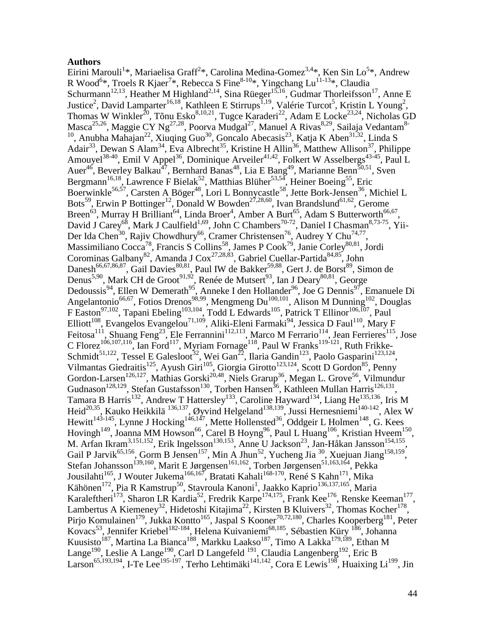### **Authors**

Eirini Marouli<sup>1</sup>\*, Mariaelisa Graff<sup>2</sup>\*, Carolina Medina-Gomez<sup>3,4</sup>\*, Ken Sin Lo<sup>5</sup>\*, Andrew R Wood<sup>6\*</sup>, Troels R Kjaer<sup>7\*</sup>, Rebecca S Fine<sup>8-10\*</sup>, Yingchang Lu<sup>11-13\*</sup>, Claudia Schurmann<sup>12,13</sup>, Heather M Highland<sup>2,14</sup>, Sina Rüeger<sup>15,16</sup>, Gudmar Thorleifsson<sup>17</sup>, Anne E Justice<sup>2</sup>, David Lamparter<sup>16,18</sup>, Kathleen E Stirrups<sup>1,19</sup>, Valérie Turcot<sup>5</sup>, Kristin L Young<sup>2</sup>, Thomas W Winkler<sup>20</sup>, Tõnu Esko<sup>8,10,21</sup>, Tugce Karaderi<sup>22</sup>, Adam E Locke<sup>23,24</sup>, Nicholas GD Masca<sup>25,26</sup>, Maggie CY Ng<sup>27,28</sup>, Poorva Mudgal<sup>27</sup>, Manuel A Rivas<sup>8,29</sup>, Sailaja Vedantam<sup>8-10</sup>, Anubha Mahajan<sup>22</sup>, Xiuqing Guo<sup>30</sup>, Goncalo Abecasis<sup>23</sup>, Katja K Aben<sup>31,32</sup>, Linda S Adair<sup>33</sup>, Dewan S Alam<sup>34</sup>, Eva Albrecht<sup>35</sup>, Kristine H Allin<sup>36</sup>, Matthew Allison<sup>37</sup>, Philippe Amouyel<sup>38-40</sup>, Emil V Appel<sup>36</sup>, Dominique Arveiler<sup>41,42</sup>, Folkert W Asselbergs<sup>43-45</sup>, Paul L Auer<sup>46</sup>, Beverley Balkau<sup>47</sup>, Bernhard Banas<sup>48</sup>, Lia E Bang<sup>49</sup>, Marianne Benn<sup>50,51</sup>, Sven Bergmann<sup>16,18</sup>, Lawrence F Bielak<sup>52</sup>, Matthias Blüher<sup>53,54</sup>, Heiner Boeing<sup>55</sup>, Eric Boerwinkle<sup>56,57</sup>, Carsten A Böger<sup>48</sup>, Lori L Bonnycastle<sup>58</sup>, Jette Bork-Jensen<sup>36</sup>, Michiel L Bots<sup>59</sup>, Erwin P Bottinger<sup>12</sup>, Donald W Bowden<sup>27,28,60</sup>, Ivan Brandslund<sup>61,62</sup>, Gerome Breen<sup>63</sup>, Murray H Brilliant<sup>64</sup>, Linda Broer<sup>4</sup>, Amber A Burt<sup>65</sup>, Adam S Butterworth<sup>66,67</sup>, David J Carey<sup>68</sup>, Mark J Caulfield<sup>1,69</sup>, John C Chambers<sup>70-72</sup>, Daniel I Chasman<sup>8,73-75</sup>, Yii-Der Ida Chen<sup>30</sup>, Rajiv Chowdhury<sup>66</sup>, Cramer Christensen<sup>76</sup>, Audrey Y Chu<sup>74,77</sup>, Massimiliano Cocca<sup>78</sup>, Francis S Collins<sup>58</sup>, James P Cook<sup>79</sup>, Janie Corley<sup>80,81</sup>, Jordi Corominas Galbany<sup>82</sup>, Amanda J Cox<sup>27,28,83</sup>, Gabriel Cuellar-Partida<sup>84,85</sup>, John Danesh<sup>66,67,86,87</sup>, Gail Davies<sup>80,81</sup>, Paul IW de Bakker<sup>59,88</sup>, Gert J. de Borst<sup>89</sup>, Simon de Denus<sup>5,90</sup>, Mark CH de Groot<sup>91,92</sup>, Renée de Mutsert<sup>93</sup>, Ian J Deary<sup>80,81</sup>, George Dedoussis<sup>94</sup>, Ellen W Demerath<sup>95</sup>, Anneke I den Hollander<sup>96</sup>, Joe G Dennis<sup>97</sup>, Emanuele Di Angelantonio<sup>66,67</sup>, Fotios Drenos<sup>98,99</sup>, Mengmeng Du<sup>100,101</sup>, Alison M Dunning<sup>102</sup>, Douglas F Easton<sup>97,102</sup>, Tapani Ebeling<sup>103,104</sup>, Todd L Edwards<sup>105</sup>, Patrick T Ellinor<sup>106,107</sup>, Paul Elliott<sup>108</sup>, Evangelos Evangelou<sup>71,109</sup>, Aliki-Eleni Farmaki<sup>94</sup>, Jessica D Faul<sup>110</sup>, Mary F Feitosa<sup>111</sup>, Shuang Feng<sup>23</sup>, Ele Ferrannini<sup>112,113</sup>, Marco M Ferrario<sup>114</sup>, Jean Ferrieres<sup>115</sup>, Jose C Florez<sup>106,107,116</sup>, Ian Ford<sup>117</sup>, Myriam Fornage<sup>118</sup>, Paul W Franks<sup>119-121</sup>, Ruth Frikke-Schmidt<sup>51,122</sup>, Tessel E Galesloot<sup>32</sup>, Wei Gan<sup>22</sup>, Ilaria Gandin<sup>123</sup>, Paolo Gasparini<sup>123,124</sup>, Vilmantas Giedraitis<sup>125</sup>, Ayush Giri<sup>105</sup>, Giorgia Girotto<sup>123,124</sup>, Scott D Gordon<sup>85</sup>, Penny Gordon-Larsen<sup>126,127</sup>, Mathias Gorski<sup>20,48</sup>, Niels Grarup<sup>36</sup>, Megan L. Grove<sup>56</sup>, Vilmundur Gudnason<sup>128,129</sup>, Stefan Gustafsson<sup>130</sup>, Torben Hansen<sup>36</sup>, Kathleen Mullan Harris<sup>126,131</sup>, Tamara B Harris<sup>132</sup>, Andrew T Hattersley<sup>133</sup>, Caroline Hayward<sup>134</sup>, Liang He<sup>135,136</sup>, Iris M Heid<sup>20,35</sup>, Kauko Heikkilä<sup>136,137</sup>, Øyvind Helgeland<sup>138,139</sup>, Jussi Hernesniemi<sup>140-142</sup>, Alex W Hewitt<sup>143-145</sup>, Lynne J Hocking<sup>146,147</sup>, Mette Hollensted<sup>36</sup>, Oddgeir L Holmen<sup>148</sup>, G. Kees Hovingh<sup>149</sup>, Joanna MM Howson<sup>66</sup>, Carel B Hoyng<sup>96</sup>, Paul L Huang<sup>106</sup>, Kristian Hveem<sup>150</sup>, M. Arfan Ikram<sup>3,151,152</sup>, Erik Ingelsson<sup>130,153</sup>, Anne U Jackson<sup>23</sup>, Jan-Håkan Jansson<sup>154,155</sup>, Gail P Jarvik<sup>65,156</sup>, Gorm B Jensen<sup>157</sup>, Min A Jhun<sup>52</sup>, Yucheng Jia<sup>30</sup>, Xuejuan Jiang<sup>158,159</sup>, Stefan Johansson<sup>139,160</sup>, Marit E Jørgensen<sup>161,162</sup>, Torben Jørgensen<sup>51,163,164</sup>, Pekka Jousilahti<sup>165</sup>, J Wouter Jukema<sup>166,167</sup>, Bratati Kahali<sup>168-170</sup>, René S Kahn<sup>171</sup>, Mika Kähönen<sup>172</sup>, Pia R Kamstrup<sup>50</sup>, Stavroula Kanoni<sup>1</sup>, Jaakko Kaprio<sup>136,137,165</sup>, Maria Karaleftheri<sup>173</sup>, Sharon LR Kardia<sup>52</sup>, Fredrik Karpe<sup>174,175</sup>, Frank Kee<sup>176</sup>, Renske Keeman<sup>177</sup>, Lambertus A Kiemeney<sup>32</sup>, Hidetoshi Kitajima<sup>22</sup>, Kirsten B Kluivers<sup>32</sup>, Thomas Kocher<sup>178</sup>, Pirjo Komulainen<sup>179</sup>, Jukka Kontto<sup>165</sup>, Jaspal S Kooner<sup>70,72,180</sup>, Charles Kooperberg<sup>181</sup>, Peter Kovacs<sup>53</sup>, Jennifer Kriebel<sup>182-184</sup>, Helena Kuivaniemi<sup>68,185</sup>, Sébastien Küry <sup>186</sup>, Johanna Kuusisto<sup>187</sup>, Martina La Bianca<sup>188</sup>, Markku Laakso<sup>187</sup>, Timo A Lakka<sup>179,189</sup>, Ethan M Lange<sup>190</sup>, Leslie A Lange<sup>190</sup>, Carl D Langefeld <sup>191</sup>, Claudia Langenberg<sup>192</sup>, Eric B Larson<sup>65,193,194</sup>, I-Te Lee<sup>195-197</sup>, Terho Lehtimäki<sup>141,142</sup>, Cora E Lewis<sup>198</sup>, Huaixing Li<sup>199</sup>, Jin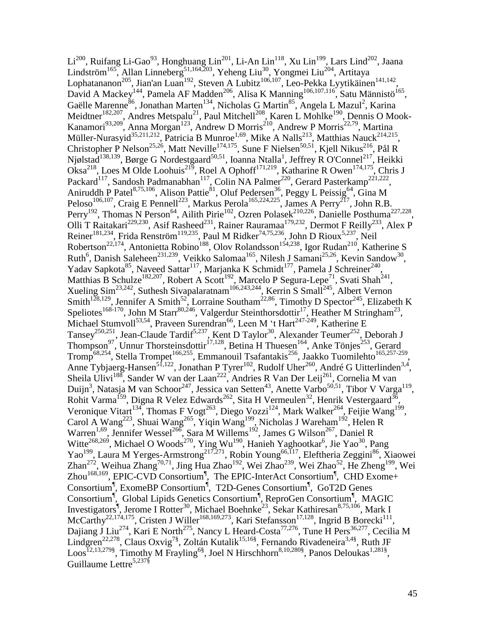$Li^{200}$ , Ruifang Li-Gao<sup>93</sup>, Honghuang Lin<sup>201</sup>, Li-An Lin<sup>118</sup>, Xu Lin<sup>199</sup>, Lars Lind<sup>202</sup>, Jaana Lindström<sup>165</sup>, Allan Linneberg<sup>51,164,203</sup>, Yeheng Liu<sup>30</sup>, Yongmei Liu<sup>204</sup>, Artitaya Lophatananon<sup>205</sup>, Jian'an Luan<sup>192</sup>, Steven A Lubitz<sup>106,107</sup>, Leo-Pekka Lyytikäinen<sup>141,142</sup>, David A Mackey<sup>144</sup>, Pamela AF Madden<sup>206</sup>, Alisa K Manning<sup>106,107,116</sup>, Satu Männistö<sup>165</sup>, Gaëlle Marenne<sup>86</sup>, Jonathan Marten<sup>134</sup>, Nicholas G Martin<sup>85</sup>, Angela L Mazul<sup>2</sup>, Karina Meidtner<sup>182,207</sup>, Andres Metspalu<sup>21</sup>, Paul Mitchell<sup>208</sup>, Karen L Mohlke<sup>190</sup>, Dennis O Mook-Kanamori<sup>93,209</sup>, Anna Morgan<sup>123</sup>, Andrew D Morris<sup>210</sup>, Andrew P Morris<sup>22,79</sup>, Martina Müller-Nurasyid<sup>35,211,212</sup>, Patricia B Munroe<sup>1,69</sup>, Mike A Nalls<sup>213</sup>, Matthias Nauck<sup>214,215</sup>, Christopher P Nelson<sup>25,26</sup>, Matt Neville<sup>174,175</sup>, Sune F Nielsen<sup>50,51</sup>, Kjell Nikus<sup>216</sup>, Pål R Njølstad<sup>138,139</sup>, Børge G Nordestgaard<sup>50,51</sup>, Ioanna Ntalla<sup>1</sup>, Jeffrey R O'Connel<sup>217</sup>, Heikki Oksa<sup>218</sup>, Loes M Olde Loohuis<sup>219</sup>, Roel A Ophoff<sup>171,219</sup>, Katharine R Owen<sup>174,175</sup>, Chris J Packard<sup>117</sup>, Sandosh Padmanabhan<sup>117</sup>, Colin NA Palmer<sup>220</sup>, Gerard Pasterkamp<sup>221,222</sup>, Aniruddh P Patel<sup>8,75,106</sup>, Alison Pattie<sup>81</sup>, Oluf Pedersen<sup>36</sup>, Peggy L Peissig<sup>64</sup>, Gina M Peloso<sup>106,107</sup>, Craig E Pennell<sup>223</sup>, Markus Perola<sup>165,224,225</sup>, James A Perry<sup>217</sup>, John R.B. Perry<sup>192</sup>, Thomas N Person<sup>64</sup>, Ailith Pirie<sup>102</sup>, Ozren Polasek<sup>210,226</sup>, Danielle Posthuma<sup>227,228</sup>, Olli T Raitakari<sup>229,230</sup>, Asif Rasheed<sup>231</sup>, Rainer Rauramaa<sup>179,232</sup>, Dermot F Reilly<sup>233</sup>, Alex P Reiner<sup>181,234</sup>, Frida Renström<sup>119,235</sup>, Paul M Ridker<sup>74,75,236</sup>, John D Rioux<sup>5,237</sup>, Neil Robertson<sup>22,174</sup>, Antonietta Robino<sup>188</sup>, Olov Rolandsson<sup>154,238</sup>, Igor Rudan<sup>210</sup>, Katherine S Ruth<sup>6</sup>, Danish Saleheen<sup>231,239</sup>, Veikko Salomaa<sup>165</sup>, Nilesh J Samani<sup>25,26</sup>, Kevin Sandow<sup>30</sup>, Yadav Sapkota<sup>85</sup>, Naveed Sattar<sup>117</sup>, Marjanka K Schmidt<sup>177</sup>, Pamela J Schreiner<sup>240</sup>, Matthias B Schulze<sup>182,207</sup>, Robert A Scott<sup>192</sup>, Marcelo P Segura-Lepe<sup>71</sup>, Svati Shah<sup>241</sup>, Xueling Sim<sup>23,242</sup>, Suthesh Sivapalaratnam<sup>106,243,244</sup>, Kerrin S Small<sup>245</sup>, Albert Vernon Smith<sup>128,129</sup>, Jennifer A Smith<sup>52</sup>, Lorraine Southam<sup>22,86</sup>, Timothy D Spector<sup>245</sup>, Elizabeth K Speliotes<sup>168-170</sup>, John M Starr<sup>80,246</sup>, Valgerdur Steinthorsdottir<sup>17</sup>, Heather M Stringham<sup>23</sup>, Michael Stumvoll<sup>53,54</sup>, Praveen Surendran<sup>66</sup>, Leen M 't Hart<sup>247-249</sup>, Katherine E Tansey<sup>250,251</sup>, Jean-Claude Tardif<sup>5,237</sup>, Kent D Taylor<sup>30</sup>, Alexander Teumer<sup>252</sup>, Deborah J Thompson<sup>97</sup>, Unnur Thorsteinsdottir<sup>17,128</sup>, Betina H Thuesen<sup>164</sup>, Anke Tönjes<sup>253</sup>, Gerard Tromp<sup>68,254</sup>, Stella Trompet<sup>166,255</sup>, Emmanouil Tsafantakis<sup>256</sup>, Jaakko Tuomilehto<sup>165,257-259</sup>, Anne Tybjaerg-Hansen<sup>51,122</sup>, Jonathan P Tyrer<sup>102</sup>, Rudolf Uher<sup>260</sup>, André G Uitterlinden<sup>3,4</sup>, Sheila Ulivi<sup>188</sup>, Sander W van der Laan<sup>222</sup>, Andries R Van Der Leij<sup>261</sup>, Cornelia M van Duijn<sup>3</sup>, Natasja M van Schoor<sup>247</sup>, Jessica van Setten<sup>43</sup>, Anette Varbo<sup>50,51</sup>, Tibor V Varga<sup>119</sup> , Rohit Varma<sup>159</sup>, Digna R Velez Edwards<sup>262</sup>, Sita H Vermeulen<sup>32</sup>, Henrik Vestergaard<sup>36</sup>, Veronique Vitart<sup>134</sup>, Thomas F Vogt<sup>263</sup>, Diego Vozzi<sup>124</sup>, Mark Walker<sup>264</sup>, Feijie Wang<sup>199</sup>, Carol A Wang<sup>223</sup>, Shuai Wang<sup>265</sup>, Yiqin Wang<sup>199</sup>, Nicholas J Wareham<sup>192</sup>, Helen R Warren<sup>1,69</sup>, Jennifer Wessel<sup>266</sup>, Sara M Willems<sup>192</sup>, James G Wilson<sup>267</sup>, Daniel R Witte<sup>268,269</sup>, Michael O Woods<sup>270</sup>, Ying Wu<sup>190</sup>, Hanieh Yaghootkar<sup>6</sup>, Jie Yao<sup>30</sup>, Pang Yao<sup>199</sup>, Laura M Yerges-Armstrong<sup>217,271</sup>, Robin Young<sup>66,117</sup>, Eleftheria Zeggini<sup>86</sup>, Xiaowei Zhan<sup>272</sup>, Weihua Zhang<sup>70,71</sup>, Jing Hua Zhao<sup>192</sup>, Wei Zhao<sup>239</sup>, Wei Zhao<sup>52</sup>, He Zheng<sup>199</sup>, Wei Zhou<sup>168,169</sup>, EPIC-CVD Consortium<sup>¶</sup>, The EPIC-InterAct Consortium<sup>¶</sup>, CHD Exome+ Consortium¶ , ExomeBP Consortium¶ , T2D-Genes Consortium¶ , GoT2D Genes Consortium<sup>¶</sup>, Global Lipids Genetics Consortium<sup>¶</sup>, ReproGen Consortium<sup>¶</sup>, MAGIC Investigators<sup>¶</sup>, Jerome I Rotter<sup>30</sup>, Michael Boehnke<sup>23</sup>, Sekar Kathiresan<sup>8,75,106</sup>, Mark I McCarthy<sup>22,174,175</sup>, Cristen J Willer<sup>168,169,273</sup>, Kari Stefansson<sup>17,128</sup>, Ingrid B Borecki<sup>111</sup>, Dajiang J Liu<sup>274</sup>, Kari E North<sup>275</sup>, Nancy L Heard-Costa<sup>77,276</sup>, Tune H Pers<sup>36,277</sup>, Cecilia M Lindgren<sup>22,278</sup>, Claus Oxvig<sup>7§</sup>, Zoltán Kutalik<sup>15,16§</sup>, Fernando Rivadeneira<sup>3,4§</sup>, Ruth JF Loos<sup>12,13,279§</sup>, Timothy M Frayling<sup>6§</sup>, Joel N Hirschhorn<sup>8,10,280§</sup>, Panos Deloukas<sup>1,281§</sup>, Guillaume Lettre<sup>5,237§</sup>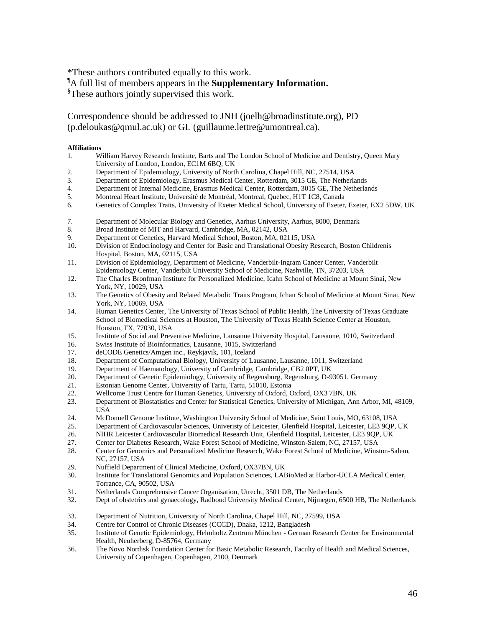\*These authors contributed equally to this work.

¶A full list of members appears in the **Supplementary Information.**

<sup>§</sup>These authors jointly supervised this work.

Correspondence should be addressed to JNH (joelh@broadinstitute.org), PD (p.deloukas@qmul.ac.uk) or GL (guillaume.lettre@umontreal.ca).

#### **Affiliations**

- 1. William Harvey Research Institute, Barts and The London School of Medicine and Dentistry, Queen Mary University of London, London, EC1M 6BQ, UK
- 2. Department of Epidemiology, University of North Carolina, Chapel Hill, NC, 27514, USA
- 3. Department of Epidemiology, Erasmus Medical Center, Rotterdam, 3015 GE, The Netherlands
- 4. Department of Internal Medicine, Erasmus Medical Center, Rotterdam, 3015 GE, The Netherlands<br>5. Montreal Heart Institute. Université de Montréal. Montreal. Quebec. H1T 1C8. Canada
- 5. Montreal Heart Institute, Université de Montréal, Montreal, Quebec, H1T 1C8, Canada
- 6. Genetics of Complex Traits, University of Exeter Medical School, University of Exeter, Exeter, EX2 5DW, UK
- 7. Department of Molecular Biology and Genetics, Aarhus University, Aarhus, 8000, Denmark
- 8. Broad Institute of MIT and Harvard, Cambridge, MA, 02142, USA
- 9. Department of Genetics, Harvard Medical School, Boston, MA, 02115, USA
- 10. Division of Endocrinology and Center for Basic and Translational Obesity Research, Boston Childrenís Hospital, Boston, MA, 02115, USA
- 11. Division of Epidemiology, Department of Medicine, Vanderbilt-Ingram Cancer Center, Vanderbilt Epidemiology Center, Vanderbilt University School of Medicine, Nashville, TN, 37203, USA
- 12. The Charles Bronfman Institute for Personalized Medicine, Icahn School of Medicine at Mount Sinai, New York, NY, 10029, USA
- 13. The Genetics of Obesity and Related Metabolic Traits Program, Ichan School of Medicine at Mount Sinai, New York, NY, 10069, USA
- 14. Human Genetics Center, The University of Texas School of Public Health, The University of Texas Graduate School of Biomedical Sciences at Houston, The University of Texas Health Science Center at Houston, Houston, TX, 77030, USA
- 15. Institute of Social and Preventive Medicine, Lausanne University Hospital, Lausanne, 1010, Switzerland
- 16. Swiss Institute of Bioinformatics, Lausanne, 1015, Switzerland
- 17. deCODE Genetics/Amgen inc., Reykjavik, 101, Iceland
- 18. Department of Computational Biology, University of Lausanne, Lausanne, 1011, Switzerland
- 19. Department of Haematology, University of Cambridge, Cambridge, CB2 0PT, UK
- 20. Department of Genetic Epidemiology, University of Regensburg, Regensburg, D-93051, Germany
- 21. Estonian Genome Center, University of Tartu, Tartu, 51010, Estonia
- 22. Wellcome Trust Centre for Human Genetics, University of Oxford, Oxford, OX3 7BN, UK
- 23. Department of Biostatistics and Center for Statistical Genetics, University of Michigan, Ann Arbor, MI, 48109, USA
- 24. McDonnell Genome Institute, Washington University School of Medicine, Saint Louis, MO, 63108, USA
- 25. Department of Cardiovascular Sciences, Univeristy of Leicester, Glenfield Hospital, Leicester, LE3 9QP, UK
- 26. NIHR Leicester Cardiovascular Biomedical Research Unit, Glenfield Hospital, Leicester, LE3 9QP, UK<br>27. Center for Diabetes Research. Wake Forest School of Medicine, Winston-Salem, NC, 27157, USA
- 
- 27. Center for Diabetes Research, Wake Forest School of Medicine, Winston-Salem, NC, 27157, USA<br>28. Center for Genomics and Personalized Medicine Research, Wake Forest School of Medicine, Wins 28. Center for Genomics and Personalized Medicine Research, Wake Forest School of Medicine, Winston-Salem, NC, 27157, USA
- 29. Nuffield Department of Clinical Medicine, Oxford, OX37BN, UK
- 30. Institute for Translational Genomics and Population Sciences, LABioMed at Harbor-UCLA Medical Center, Torrance, CA, 90502, USA
- 31. Netherlands Comprehensive Cancer Organisation, Utrecht, 3501 DB, The Netherlands
- 32. Dept of obstetrics and gynaecology, Radboud University Medical Center, Nijmegen, 6500 HB, The Netherlands
- 33. Department of Nutrition, University of North Carolina, Chapel Hill, NC, 27599, USA
- 34. Centre for Control of Chronic Diseases (CCCD), Dhaka, 1212, Bangladesh
- 35. Institute of Genetic Epidemiology, Helmholtz Zentrum München German Research Center for Environmental Health, Neuherberg, D-85764, Germany
- 36. The Novo Nordisk Foundation Center for Basic Metabolic Research, Faculty of Health and Medical Sciences, University of Copenhagen, Copenhagen, 2100, Denmark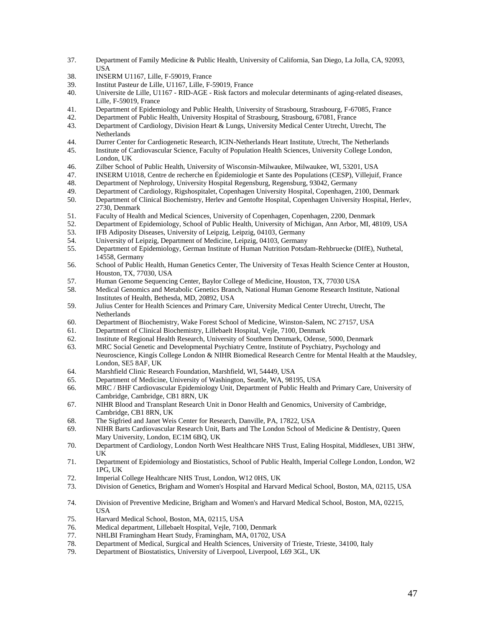- 37. Department of Family Medicine & Public Health, University of California, San Diego, La Jolla, CA, 92093, USA
- 38. INSERM U1167, Lille, F-59019, France
- 39. Institut Pasteur de Lille, U1167, Lille, F-59019, France
- 40. Universite de Lille, U1167 RID-AGE Risk factors and molecular determinants of aging-related diseases, Lille, F-59019, France
- 41. Department of Epidemiology and Public Health, University of Strasbourg, Strasbourg, F-67085, France
- 42. Department of Public Health, University Hospital of Strasbourg, Strasbourg, 67081, France
- 43. Department of Cardiology, Division Heart & Lungs, University Medical Center Utrecht, Utrecht, The Netherlands
- 44. Durrer Center for Cardiogenetic Research, ICIN-Netherlands Heart Institute, Utrecht, The Netherlands
- 45. Institute of Cardiovascular Science, Faculty of Population Health Sciences, University College London, London, UK
- 46. Zilber School of Public Health, University of Wisconsin-Milwaukee, Milwaukee, WI, 53201, USA
- 47. INSERM U1018, Centre de recherche en Épidemiologie et Sante des Populations (CESP), Villejuif, France
- 48. Department of Nephrology, University Hospital Regensburg, Regensburg, 93042, Germany<br>49. Department of Cardiology, Rigshospitalet, Copenhagen University Hospital, Copenhagen, 2
- 49. Department of Cardiology, Rigshospitalet, Copenhagen University Hospital, Copenhagen, 2100, Denmark
- 50. Department of Clinical Biochemistry, Herlev and Gentofte Hospital, Copenhagen University Hospital, Herlev, 2730, Denmark
- 51. Faculty of Health and Medical Sciences, University of Copenhagen, Copenhagen, 2200, Denmark
- 52. Department of Epidemiology, School of Public Health, University of Michigan, Ann Arbor, MI, 48109, USA
- 53. IFB Adiposity Diseases, University of Leipzig, Leipzig, 04103, Germany
- 54. University of Leipzig, Department of Medicine, Leipzig, 04103, Germany
- 55. Department of Epidemiology, German Institute of Human Nutrition Potsdam-Rehbruecke (DIfE), Nuthetal, 14558, Germany
- 56. School of Public Health, Human Genetics Center, The University of Texas Health Science Center at Houston, Houston, TX, 77030, USA
- 57. Human Genome Sequencing Center, Baylor College of Medicine, Houston, TX, 77030 USA
- 58. Medical Genomics and Metabolic Genetics Branch, National Human Genome Research Institute, National Institutes of Health, Bethesda, MD, 20892, USA
- 59. Julius Center for Health Sciences and Primary Care, University Medical Center Utrecht, Utrecht, The Netherlands
- 60. Department of Biochemistry, Wake Forest School of Medicine, Winston-Salem, NC 27157, USA
- 61. Department of Clinical Biochemistry, Lillebaelt Hospital, Vejle, 7100, Denmark
- 62. Institute of Regional Health Research, University of Southern Denmark, Odense, 5000, Denmark
- 63. MRC Social Genetic and Developmental Psychiatry Centre, Institute of Psychiatry, Psychology and Neuroscience, Kingís College London & NIHR Biomedical Research Centre for Mental Health at the Maudsley, London, SE5 8AF, UK
- 64. Marshfield Clinic Research Foundation, Marshfield, WI, 54449, USA
- 65. Department of Medicine, University of Washington, Seattle, WA, 98195, USA
- 66. MRC / BHF Cardiovascular Epidemiology Unit, Department of Public Health and Primary Care, University of Cambridge, Cambridge, CB1 8RN, UK
- 67. NIHR Blood and Transplant Research Unit in Donor Health and Genomics, University of Cambridge, Cambridge, CB1 8RN, UK
- 68. The Sigfried and Janet Weis Center for Research, Danville, PA, 17822, USA
- 69. NIHR Barts Cardiovascular Research Unit, Barts and The London School of Medicine & Dentistry, Queen Mary University, London, EC1M 6BQ, UK
- 70. Department of Cardiology, London North West Healthcare NHS Trust, Ealing Hospital, Middlesex, UB1 3HW, UK
- 71. Department of Epidemiology and Biostatistics, School of Public Health, Imperial College London, London, W2 1PG, UK
- 72. Imperial College Healthcare NHS Trust, London, W12 0HS, UK
- 73. Division of Genetics, Brigham and Women's Hospital and Harvard Medical School, Boston, MA, 02115, USA
- 74. Division of Preventive Medicine, Brigham and Women's and Harvard Medical School, Boston, MA, 02215, **USA**
- 75. Harvard Medical School, Boston, MA, 02115, USA
- 76. Medical department, Lillebaelt Hospital, Vejle, 7100, Denmark
- 77. NHLBI Framingham Heart Study, Framingham, MA, 01702, USA
- 78. Department of Medical, Surgical and Health Sciences, University of Trieste, Trieste, 34100, Italy
- 79. Department of Biostatistics, University of Liverpool, Liverpool, L69 3GL, UK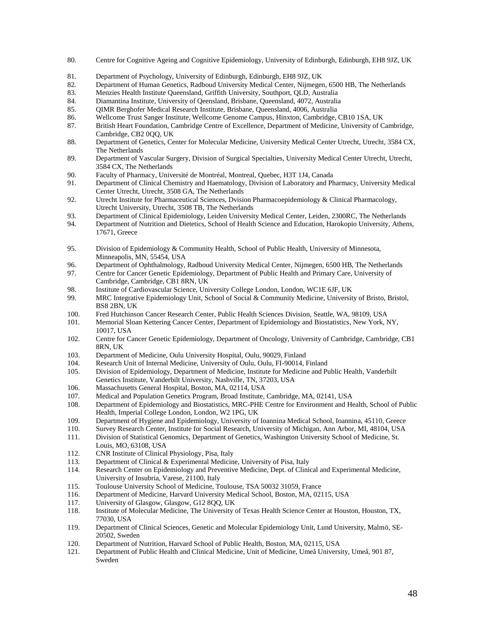- 80. Centre for Cognitive Ageing and Cognitive Epidemiology, University of Edinburgh, Edinburgh, EH8 9JZ, UK
- 81. Department of Psychology, University of Edinburgh, Edinburgh, EH8 9JZ, UK
- 82. Department of Human Genetics, Radboud University Medical Center, Nijmegen, 6500 HB, The Netherlands
- 83. Menzies Health Institute Queensland, Griffith University, Southport, QLD, Australia
- 84. Diamantina Institute, University of Qeensland, Brisbane, Queensland, 4072, Australia
- 85. QIMR Berghofer Medical Research Institute, Brisbane, Queensland, 4006, Australia
- 86. Wellcome Trust Sanger Institute, Wellcome Genome Campus, Hinxton, Cambridge, CB10 1SA, UK
- 87. British Heart Foundation, Cambridge Centre of Excellence, Department of Medicine, University of Cambridge, Cambridge, CB2 0QQ, UK
- 88. Department of Genetics, Center for Molecular Medicine, University Medical Center Utrecht, Utrecht, 3584 CX, The Netherlands
- 89. Department of Vascular Surgery, Division of Surgical Specialties, University Medical Center Utrecht, Utrecht, 3584 CX, The Netherlands
- 90. Faculty of Pharmacy, Université de Montréal, Montreal, Quebec, H3T 1J4, Canada
- 91. Department of Clinical Chemistry and Haematology, Division of Laboratory and Pharmacy, University Medical Center Utrecht, Utrecht, 3508 GA, The Netherlands
- 92. Utrecht Institute for Pharmaceutical Sciences, Dvision Pharmacoepidemiology & Clinical Pharmacology, Utrecht University, Utrecht, 3508 TB, The Netherlands
- 93. Department of Clinical Epidemiology, Leiden University Medical Center, Leiden, 2300RC, The Netherlands
- 94. Department of Nutrition and Dietetics, School of Health Science and Education, Harokopio University, Athens, 17671, Greece
- 95. Division of Epidemiology & Community Health, School of Public Health, University of Minnesota, Minneapolis, MN, 55454, USA
- 96. Department of Ophthalmology, Radboud University Medical Center, Nijmegen, 6500 HB, The Netherlands
- 97. Centre for Cancer Genetic Epidemiology, Department of Public Health and Primary Care, University of Cambridge, Cambridge, CB1 8RN, UK
- 98. Institute of Cardiovascular Science, University College London, London, WC1E 6JF, UK
- 99. MRC Integrative Epidemiology Unit, School of Social & Community Medicine, University of Bristo, Bristol, BS8 2BN, UK
- 100. Fred Hutchinson Cancer Research Center, Public Health Sciences Division, Seattle, WA, 98109, USA
- 101. Memorial Sloan Kettering Cancer Center, Department of Epidemiology and Biostatistics, New York, NY, 10017, USA
- 102. Centre for Cancer Genetic Epidemiology, Department of Oncology, University of Cambridge, Cambridge, CB1 8RN, UK
- 103. Department of Medicine, Oulu University Hospital, Oulu, 90029, Finland
- 104. Research Unit of Internal Medicine, University of Oulu, Oulu, FI-90014, Finland
- 105. Division of Epidemiology, Department of Medicine, Institute for Medicine and Public Health, Vanderbilt Genetics Institute, Vanderbilt University, Nashville, TN, 37203, USA
- 106. Massachusetts General Hospital, Boston, MA, 02114, USA
- 107. Medical and Population Genetics Program, Broad Institute, Cambridge, MA, 02141, USA<br>108. Department of Epidemiology and Biostatistics, MRC-PHE Centre for Environment and He
- 108. Department of Epidemiology and Biostatistics, MRC-PHE Centre for Environment and Health, School of Public Health, Imperial College London, London, W2 1PG, UK
- 109. Department of Hygiene and Epidemiology, University of Ioannina Medical School, Ioannina, 45110, Greece
- 110. Survey Research Center, Institute for Social Research, University of Michigan, Ann Arbor, MI, 48104, USA
- 111. Division of Statistical Genomics, Department of Genetics, Washington University School of Medicine, St. Louis, MO, 63108, USA
- 112. CNR Institute of Clinical Physiology, Pisa, Italy
- 113. Department of Clinical & Experimental Medicine, University of Pisa, Italy
- 114. Research Center on Epidemiology and Preventive Medicine, Dept. of Clinical and Experimental Medicine, University of Insubria, Varese, 21100, Italy
- 115. Toulouse University School of Medicine, Toulouse, TSA 50032 31059, France
- 116. Department of Medicine, Harvard University Medical School, Boston, MA, 02115, USA
- 117. University of Glasgow, Glasgow, G12 8QQ, UK<br>118. Institute of Molecular Medicine, The University
- 118. Institute of Molecular Medicine, The University of Texas Health Science Center at Houston, Houston, TX, 77030, USA
- 119. Department of Clinical Sciences, Genetic and Molecular Epidemiology Unit, Lund University, Malmö, SE-20502, Sweden
- 120. Department of Nutrition, Harvard School of Public Health, Boston, MA, 02115, USA
- 121. Department of Public Health and Clinical Medicine, Unit of Medicine, Umeå University, Umeå, 901 87, Sweden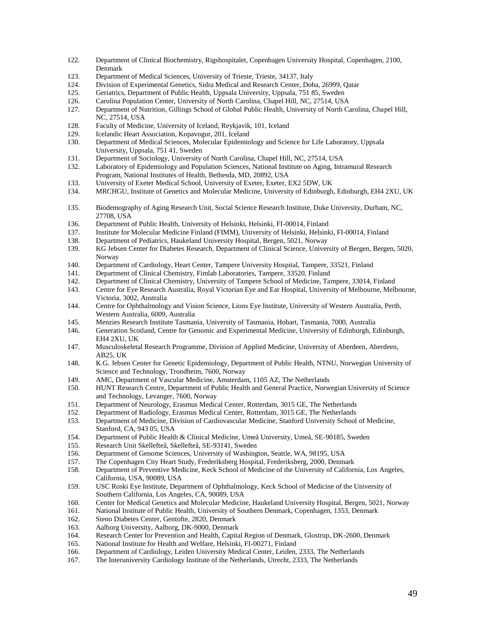- 122. Department of Clinical Biochemistry, Rigshospitalet, Copenhagen University Hospital, Copenhagen, 2100, Denmark
- 123. Department of Medical Sciences, University of Trieste, Trieste, 34137, Italy
- 124. Division of Experimental Genetics, Sidra Medical and Research Center, Doha, 26999, Qatar
- 125. Geriatrics, Department of Public Health, Uppsala University, Uppsala, 751 85, Sweden
- 126. Carolina Population Center, University of North Carolina, Chapel Hill, NC, 27514, USA
- 127. Department of Nutrition, Gillings School of Global Public Health, University of North Carolina, Chapel Hill, NC, 27514, USA
- 128. Faculty of Medicine, University of Iceland, Reykjavik, 101, Iceland
- 129. Icelandic Heart Association, Kopavogur, 201, Iceland
- 130. Department of Medical Sciences, Molecular Epidemiology and Science for Life Laboratory, Uppsala University, Uppsala, 751 41, Sweden
- 131. Department of Sociology, University of North Carolina, Chapel Hill, NC, 27514, USA
- 132. Laboratory of Epidemiology and Population Sciences, National Institute on Aging, Intramural Research Program, National Institutes of Health, Bethesda, MD, 20892, USA
- 133. University of Exeter Medical School, University of Exeter, Exeter, EX2 5DW, UK<br>134. MRCHGU, Institute of Genetics and Molecular Medicine, University of Edinburgh
- 134. MRCHGU, Institute of Genetics and Molecular Medicine, University of Edinburgh, Edinburgh, EH4 2XU, UK
- 135. Biodemography of Aging Research Unit, Social Science Research Institute, Duke University, Durham, NC, 27708, USA
- 136. Department of Public Health, University of Helsinki, Helsinki, FI-00014, Finland
- 137. Institute for Molecular Medicine Finland (FIMM), University of Helsinki, Helsinki, FI-00014, Finland
- 138. Department of Pediatrics, Haukeland University Hospital, Bergen, 5021, Norway
- 139. KG Jebsen Center for Diabetes Research, Department of Clinical Science, University of Bergen, Bergen, 5020, Norway
- 140. Department of Cardiology, Heart Center, Tampere University Hospital, Tampere, 33521, Finland
- 141. Department of Clinical Chemistry, Fimlab Laboratories, Tampere, 33520, Finland
- 142. Department of Clinical Chemistry, University of Tampere School of Medicine, Tampere, 33014, Finland
- 143. Centre for Eye Research Australia, Royal Victorian Eye and Ear Hospital, University of Melbourne, Melbourne, Victoria, 3002, Australia
- 144. Centre for Ophthalmology and Vision Science, Lions Eye Institute, University of Western Australia, Perth, Western Australia, 6009, Australia
- 145. Menzies Research Institute Tasmania, University of Tasmania, Hobart, Tasmania, 7000, Australia
- 146. Generation Scotland, Centre for Genomic and Experimental Medicine, University of Edinburgh, Edinburgh, EH4 2XU, UK
- 147. Musculoskeletal Research Programme, Division of Applied Medicine, University of Aberdeen, Aberdeen, AB25, UK
- 148. K.G. Jebsen Center for Genetic Epidemiology, Department of Public Health, NTNU, Norwegian University of Science and Technology, Trondheim, 7600, Norway
- 149. AMC, Department of Vascular Medicine, Amsterdam, 1105 AZ, The Netherlands
- 150. HUNT Research Centre, Department of Public Health and General Practice, Norwegian University of Science and Technology, Levanger, 7600, Norway
- 151. Department of Neurology, Erasmus Medical Center, Rotterdam, 3015 GE, The Netherlands
- 152. Department of Radiology, Erasmus Medical Center, Rotterdam, 3015 GE, The Netherlands
- 153. Department of Medicine, Division of Cardiovascular Medicine, Stanford University School of Medicine, Stanford, CA, 943 05, USA
- 154. Department of Public Health & Clinical Medicine, Umeå University, Umeå, SE-90185, Sweden
- 155. Research Unit Skellefteå, Skellefteå, SE-93141, Sweden
- 156. Department of Genome Sciences, University of Washington, Seattle, WA, 98195, USA
- 157. The Copenhagen City Heart Study, Frederiksberg Hospital, Frederiksberg, 2000, Denmark
- 158. Department of Preventive Medicine, Keck School of Medicine of the University of California, Los Angeles, California, USA, 90089, USA
- 159. USC Roski Eye Institute, Department of Ophthalmology, Keck School of Medicine of the University of Southern California, Los Angeles, CA, 90089, USA
- 160. Center for Medical Genetics and Molecular Medicine, Haukeland University Hospital, Bergen, 5021, Norway
- 161. National Institute of Public Health, University of Southern Denmark, Copenhagen, 1353, Denmark
- 162. Steno Diabetes Center, Gentofte, 2820, Denmark
- 163. Aalborg University, Aalborg, DK-9000, Denmark
- 164. Research Center for Prevention and Health, Capital Region of Denmark, Glostrup, DK-2600, Denmark
- 165. National Institute for Health and Welfare, Helsinki, FI-00271, Finland
- 166. Department of Cardiology, Leiden University Medical Center, Leiden, 2333, The Netherlands
- 167. The Interuniversity Cardiology Institute of the Netherlands, Utrecht, 2333, The Netherlands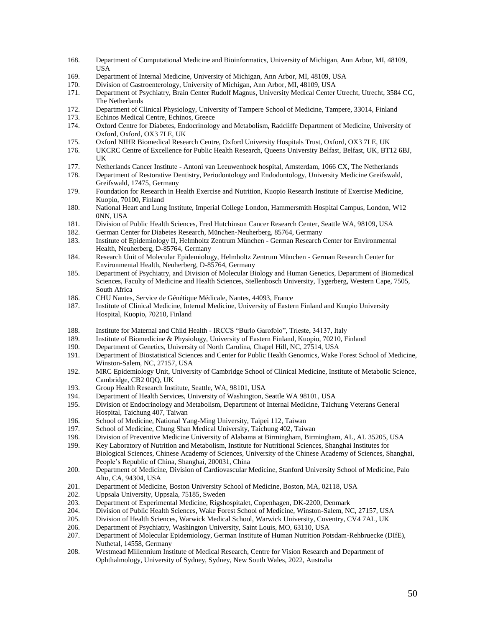- 168. Department of Computational Medicine and Bioinformatics, University of Michigan, Ann Arbor, MI, 48109, **USA**
- 169. Department of Internal Medicine, University of Michigan, Ann Arbor, MI, 48109, USA
- 170. Division of Gastroenterology, University of Michigan, Ann Arbor, MI, 48109, USA
- 171. Department of Psychiatry, Brain Center Rudolf Magnus, University Medical Center Utrecht, Utrecht, 3584 CG, The Netherlands
- 172. Department of Clinical Physiology, University of Tampere School of Medicine, Tampere, 33014, Finland
- 173. Echinos Medical Centre, Echinos, Greece
- 174. Oxford Centre for Diabetes, Endocrinology and Metabolism, Radcliffe Department of Medicine, University of Oxford, Oxford, OX3 7LE, UK
- 175. Oxford NIHR Biomedical Research Centre, Oxford University Hospitals Trust, Oxford, OX3 7LE, UK
- 176. UKCRC Centre of Excellence for Public Health Research, Queens University Belfast, Belfast, UK, BT12 6BJ, UK
- 177. Netherlands Cancer Institute Antoni van Leeuwenhoek hospital, Amsterdam, 1066 CX, The Netherlands
- 178. Department of Restorative Dentistry, Periodontology and Endodontology, University Medicine Greifswald, Greifswald, 17475, Germany
- 179. Foundation for Research in Health Exercise and Nutrition, Kuopio Research Institute of Exercise Medicine, Kuopio, 70100, Finland
- 180. National Heart and Lung Institute, Imperial College London, Hammersmith Hospital Campus, London, W12 0NN, USA
- 181. Division of Public Health Sciences, Fred Hutchinson Cancer Research Center, Seattle WA, 98109, USA
- 182. German Center for Diabetes Research, München-Neuherberg, 85764, Germany
- 183. Institute of Epidemiology II, Helmholtz Zentrum München German Research Center for Environmental Health, Neuherberg, D-85764, Germany
- 184. Research Unit of Molecular Epidemiology, Helmholtz Zentrum München German Research Center for Environmental Health, Neuherberg, D-85764, Germany
- 185. Department of Psychiatry, and Division of Molecular Biology and Human Genetics, Department of Biomedical Sciences, Faculty of Medicine and Health Sciences, Stellenbosch University, Tygerberg, Western Cape, 7505, South Africa
- 186. CHU Nantes, Service de Génétique Médicale, Nantes, 44093, France
- 187. Institute of Clinical Medicine, Internal Medicine, University of Eastern Finland and Kuopio University Hospital, Kuopio, 70210, Finland
- 188. Institute for Maternal and Child Health IRCCS "Burlo Garofolo", Trieste, 34137, Italy
- 189. Institute of Biomedicine & Physiology, University of Eastern Finland, Kuopio, 70210, Finland
- 190. Department of Genetics, University of North Carolina, Chapel Hill, NC, 27514, USA
- 191. Department of Biostatistical Sciences and Center for Public Health Genomics, Wake Forest School of Medicine, Winston-Salem, NC, 27157, USA
- 192. MRC Epidemiology Unit, University of Cambridge School of Clinical Medicine, Institute of Metabolic Science, Cambridge, CB2 0QQ, UK
- 193. Group Health Research Institute, Seattle, WA, 98101, USA<br>194. Department of Health Services, University of Washington, S
- 194. Department of Health Services, University of Washington, Seattle WA 98101, USA<br>195. Division of Endocrinology and Metabolism, Department of Internal Medicine, Taich
- 195. Division of Endocrinology and Metabolism, Department of Internal Medicine, Taichung Veterans General Hospital, Taichung 407, Taiwan
- 196. School of Medicine, National Yang-Ming University, Taipei 112, Taiwan
- 197. School of Medicine, Chung Shan Medical University, Taichung 402, Taiwan
- 198. Division of Preventive Medicine University of Alabama at Birmingham, Birmingham, AL, AL 35205, USA
- 199. Key Laboratory of Nutrition and Metabolism, Institute for Nutritional Sciences, Shanghai Institutes for Biological Sciences, Chinese Academy of Sciences, University of the Chinese Academy of Sciences, Shanghai, People's Republic of China, Shanghai, 200031, China
- 200. Department of Medicine, Division of Cardiovascular Medicine, Stanford University School of Medicine, Palo Alto, CA, 94304, USA
- 201. Department of Medicine, Boston University School of Medicine, Boston, MA, 02118, USA
- 202. Uppsala University, Uppsala, 75185, Sweden<br>203. Department of Experimental Medicine, Rigsh
- 203. Department of Experimental Medicine, Rigshospitalet, Copenhagen, DK-2200, Denmark<br>204. Division of Public Health Sciences, Wake Forest School of Medicine, Winston-Salem, N
- Division of Public Health Sciences, Wake Forest School of Medicine, Winston-Salem, NC, 27157, USA
- 205. Division of Health Sciences, Warwick Medical School, Warwick University, Coventry, CV4 7AL, UK
- 206. Department of Psychiatry, Washington University, Saint Louis, MO, 63110, USA
- 207. Department of Molecular Epidemiology, German Institute of Human Nutrition Potsdam-Rehbruecke (DIfE), Nuthetal, 14558, Germany
- 208. Westmead Millennium Institute of Medical Research, Centre for Vision Research and Department of Ophthalmology, University of Sydney, Sydney, New South Wales, 2022, Australia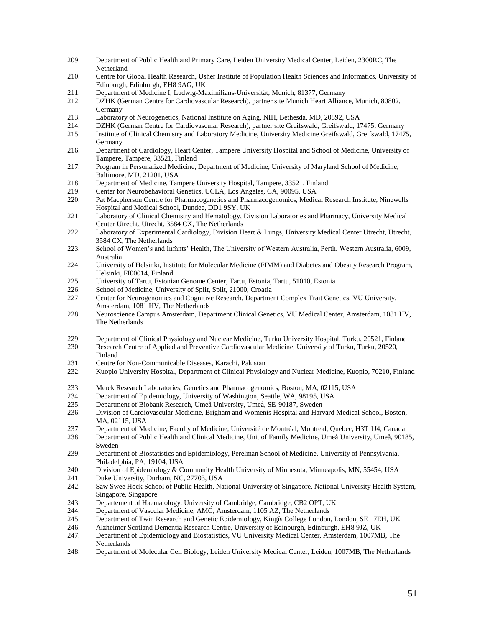- 209. Department of Public Health and Primary Care, Leiden University Medical Center, Leiden, 2300RC, The Netherland
- 210. Centre for Global Health Research, Usher Institute of Population Health Sciences and Informatics, University of Edinburgh, Edinburgh, EH8 9AG, UK
- 211. Department of Medicine I, Ludwig-Maximilians-Universität, Munich, 81377, Germany
- 212. DZHK (German Centre for Cardiovascular Research), partner site Munich Heart Alliance, Munich, 80802, Germany
- 213. Laboratory of Neurogenetics, National Institute on Aging, NIH, Bethesda, MD, 20892, USA
- 214. DZHK (German Centre for Cardiovascular Research), partner site Greifswald, Greifswald, 17475, Germany
- 215. Institute of Clinical Chemistry and Laboratory Medicine, University Medicine Greifswald, Greifswald, 17475, Germany
- 216. Department of Cardiology, Heart Center, Tampere University Hospital and School of Medicine, University of Tampere, Tampere, 33521, Finland
- 217. Program in Personalized Medicine, Department of Medicine, University of Maryland School of Medicine, Baltimore, MD, 21201, USA
- 218. Department of Medicine, Tampere University Hospital, Tampere, 33521, Finland
- 219. Center for Neurobehavioral Genetics, UCLA, Los Angeles, CA, 90095, USA
- 220. Pat Macpherson Centre for Pharmacogenetics and Pharmacogenomics, Medical Research Institute, Ninewells Hospital and Medical School, Dundee, DD1 9SY, UK
- 221. Laboratory of Clinical Chemistry and Hematology, Division Laboratories and Pharmacy, University Medical Center Utrecht, Utrecht, 3584 CX, The Netherlands
- 222. Laboratory of Experimental Cardiology, Division Heart & Lungs, University Medical Center Utrecht, Utrecht, 3584 CX, The Netherlands
- 223. School of Women's and Infants' Health, The University of Western Australia, Perth, Western Australia, 6009, Australia
- 224. University of Helsinki, Institute for Molecular Medicine (FIMM) and Diabetes and Obesity Research Program, Helsinki, FI00014, Finland
- 225. University of Tartu, Estonian Genome Center, Tartu, Estonia, Tartu, 51010, Estonia
- 226. School of Medicine, University of Split, Split, 21000, Croatia
- 227. Center for Neurogenomics and Cognitive Research, Department Complex Trait Genetics, VU University, Amsterdam, 1081 HV, The Netherlands
- 228. Neuroscience Campus Amsterdam, Department Clinical Genetics, VU Medical Center, Amsterdam, 1081 HV, The Netherlands
- 229. Department of Clinical Physiology and Nuclear Medicine, Turku University Hospital, Turku, 20521, Finland
- 230. Research Centre of Applied and Preventive Cardiovascular Medicine, University of Turku, Turku, 20520, Finland
- 231. Centre for Non-Communicable Diseases, Karachi, Pakistan
- 232. Kuopio University Hospital, Department of Clinical Physiology and Nuclear Medicine, Kuopio, 70210, Finland
- 233. Merck Research Laboratories, Genetics and Pharmacogenomics, Boston, MA, 02115, USA<br>234. Department of Epidemiology, University of Washington, Seattle, WA, 98195, USA
- 234. Department of Epidemiology, University of Washington, Seattle, WA, 98195, USA<br>235. Department of Biobank Research, Umeå University, Umeå, SE-90187, Sweden
- 235. Department of Biobank Research, Umeå University, Umeå, SE-90187, Sweden
- 236. Division of Cardiovascular Medicine, Brigham and Womenís Hospital and Harvard Medical School, Boston, MA, 02115, USA
- 237. Department of Medicine, Faculty of Medicine, Université de Montréal, Montreal, Quebec, H3T 1J4, Canada
- 238. Department of Public Health and Clinical Medicine, Unit of Family Medicine, Umeå University, Umeå, 90185, Sweden
- 239. Department of Biostatistics and Epidemiology, Perelman School of Medicine, University of Pennsylvania, Philadelphia, PA, 19104, USA
- 240. Division of Epidemiology & Community Health University of Minnesota, Minneapolis, MN, 55454, USA
- 241. Duke University, Durham, NC, 27703, USA
- 242. Saw Swee Hock School of Public Health, National University of Singapore, National University Health System, Singapore, Singapore
- 243. Departement of Haematology, University of Cambridge, Cambridge, CB2 OPT, UK<br>244. Department of Vascular Medicine, AMC, Amsterdam, 1105 AZ, The Netherlands
- Department of Vascular Medicine, AMC, Amsterdam, 1105 AZ, The Netherlands
- 245. Department of Twin Research and Genetic Epidemiology, Kingís College London, London, SE1 7EH, UK
- 246. Alzheimer Scotland Dementia Research Centre, University of Edinburgh, Edinburgh, EH8 9JZ, UK
- 247. Department of Epidemiology and Biostatistics, VU University Medical Center, Amsterdam, 1007MB, The Netherlands
- 248. Department of Molecular Cell Biology, Leiden University Medical Center, Leiden, 1007MB, The Netherlands